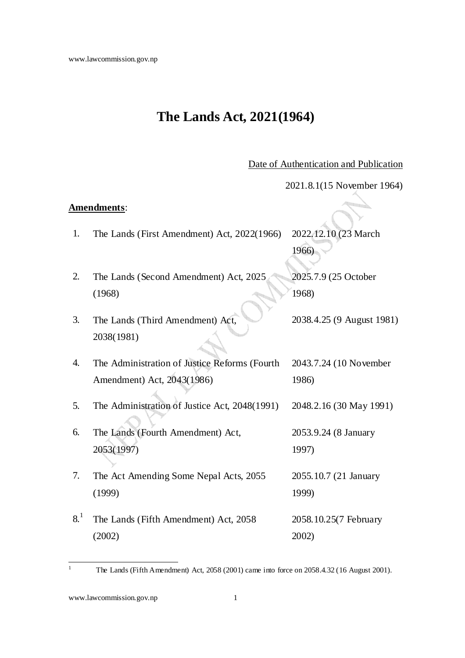# **The Lands Act, 2021(1964)**

Date of Authentication and Publication

|     |                                               | 2021.8.1(15 November 1964) |
|-----|-----------------------------------------------|----------------------------|
|     | Amendments:                                   |                            |
| 1.  | The Lands (First Amendment) Act, 2022(1966)   | 2022.12.10 (23 March       |
|     |                                               | 1966)                      |
| 2.  | The Lands (Second Amendment) Act, 2025        | 2025.7.9 (25 October       |
|     | (1968)                                        | 1968)                      |
| 3.  | The Lands (Third Amendment) Act,              | 2038.4.25 (9 August 1981)  |
|     | 2038(1981)                                    |                            |
| 4.  | The Administration of Justice Reforms (Fourth | 2043.7.24 (10 November     |
|     | Amendment) Act, 2043(1986)                    | 1986)                      |
| 5.  | The Administration of Justice Act, 2048(1991) | 2048.2.16 (30 May 1991)    |
| 6.  | The Lands (Fourth Amendment) Act,             | 2053.9.24 (8 January       |
|     | 2053(1997)                                    | 1997)                      |
| 7.  | The Act Amending Some Nepal Acts, 2055        | 2055.10.7 (21 January      |
|     | (1999)                                        | 1999)                      |
| 8.1 | The Lands (Fifth Amendment) Act, 2058         | 2058.10.25(7 February      |
|     | (2002)                                        | 2002)                      |

The Lands (Fifth Amendment) Act, 2058 (2001) came into force on 2058.4.32 (16 August 2001).

 $\frac{1}{1}$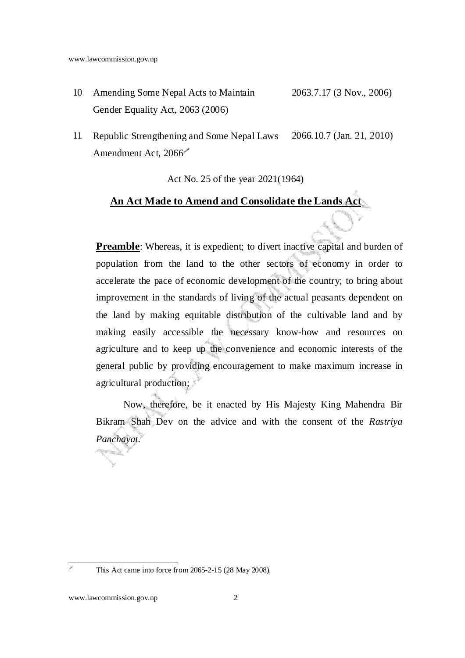- 10 Amending Some Nepal Acts to Maintain Gender Equality Act, 2063 (2006) 2063.7.17 (3 Nov., 2006)
- 11 Republic Strengthening and Some Nepal Laws Amendment Act, 2066 2066.10.7 (Jan. 21, 2010)

Act No. 25 of the year 2021(1964)

### **An Act Made to Amend and Consolidate the Lands Act**

**Preamble**: Whereas, it is expedient; to divert inactive capital and burden of population from the land to the other sectors of economy in order to accelerate the pace of economic development of the country; to bring about improvement in the standards of living of the actual peasants dependent on the land by making equitable distribution of the cultivable land and by making easily accessible the necessary know-how and resources on agriculture and to keep up the convenience and economic interests of the general public by providing encouragement to make maximum increase in agricultural production;

Now, therefore, be it enacted by His Majesty King Mahendra Bir Bikram Shah Dev on the advice and with the consent of the *Rastriya Panchayat*.

en la familie de la familie de la familie de la familie de la familie de la familie de la familie de la familie de la familie de la familie de la familie de la familie de la familie de la familie de la familie de la famili

This Act came into force from 2065-2-15 (28 May 2008).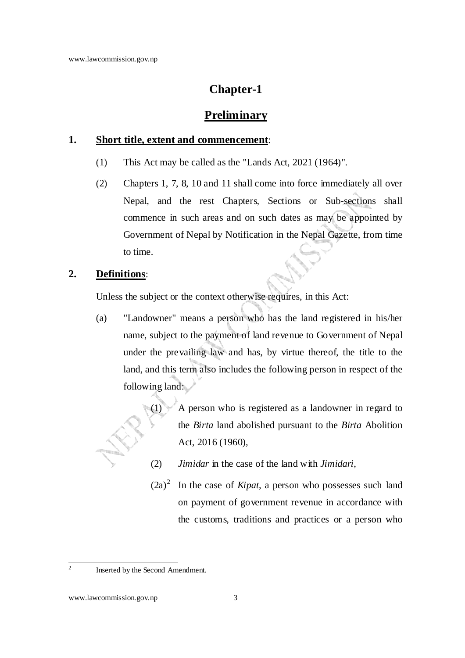### **Chapter-1**

### **Preliminary**

#### **1. Short title, extent and commencement**:

- (1) This Act may be called as the "Lands Act, 2021 (1964)".
- (2) Chapters 1, 7, 8, 10 and 11 shall come into force immediately all over Nepal, and the rest Chapters, Sections or Sub-sections shall commence in such areas and on such dates as may be appointed by Government of Nepal by Notification in the Nepal Gazette, from time to time.

### **2. Definitions**:

Unless the subject or the context otherwise requires, in this Act:

(a) "Landowner" means a person who has the land registered in his/her name, subject to the payment of land revenue to Government of Nepal under the prevailing law and has, by virtue thereof, the title to the land, and this term also includes the following person in respect of the following land:

> (1) A person who is registered as a landowner in regard to the *Birta* land abolished pursuant to the *Birta* Abolition Act, 2016 (1960),

- (2) *Jimidar* in the case of the land with *Jimidari*,
- $(2a)^2$  In the case of *Kipat*, a person who possesses such land on payment of government revenue in accordance with the customs, traditions and practices or a person who

 $\frac{1}{2}$ 

Inserted by the Second Amendment.

www.lawcommission.gov.np 3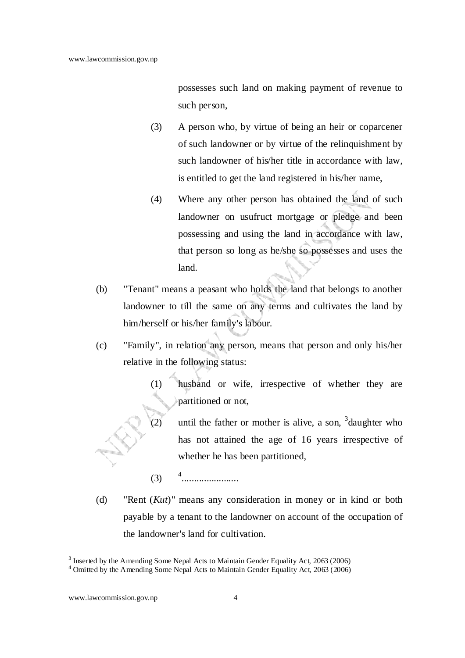possesses such land on making payment of revenue to such person,

- (3) A person who, by virtue of being an heir or coparcener of such landowner or by virtue of the relinquishment by such landowner of his/her title in accordance with law, is entitled to get the land registered in his/her name,
- (4) Where any other person has obtained the land of such landowner on usufruct mortgage or pledge and been possessing and using the land in accordance with law, that person so long as he/she so possesses and uses the land.
- (b) "Tenant" means a peasant who holds the land that belongs to another landowner to till the same on any terms and cultivates the land by him/herself or his/her family's labour.
- (c) "Family", in relation any person, means that person and only his/her relative in the following status:
	- (1) husband or wife, irrespective of whether they are partitioned or not,
	- (2) until the father or mother is alive, a son,  $3$  daughter who has not attained the age of 16 years irrespective of whether he has been partitioned,
	- $(3)$   $4$ .......................
- (d) "Rent (*Kut*)" means any consideration in money or in kind or both payable by a tenant to the landowner on account of the occupation of the landowner's land for cultivation.

 $3$  Inserted by the Amending Some Nepal Acts to Maintain Gender Equality Act, 2063 (2006)

<sup>&</sup>lt;sup>4</sup> Omitted by the Amending Some Nepal Acts to Maintain Gender Equality Act, 2063 (2006)

www.lawcommission.gov.np 4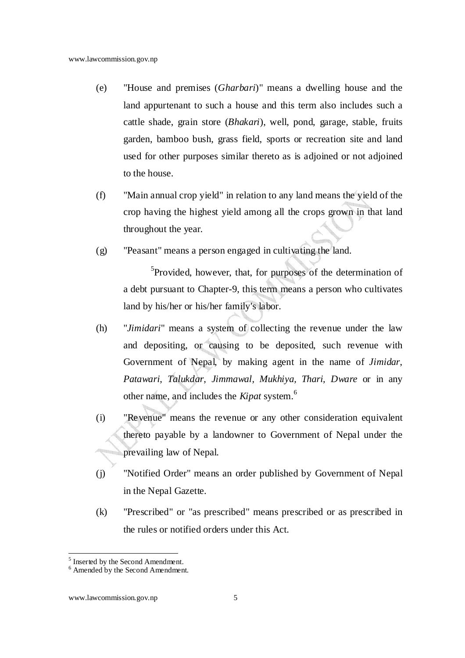- (e) "House and premises (*Gharbari*)" means a dwelling house and the land appurtenant to such a house and this term also includes such a cattle shade, grain store (*Bhakari*), well, pond, garage, stable, fruits garden, bamboo bush, grass field, sports or recreation site and land used for other purposes similar thereto as is adjoined or not adjoined to the house.
- (f) "Main annual crop yield" in relation to any land means the yield of the crop having the highest yield among all the crops grown in that land throughout the year.
- (g) "Peasant" means a person engaged in cultivating the land.

<sup>5</sup>Provided, however, that, for purposes of the determination of a debt pursuant to Chapter-9, this term means a person who cultivates land by his/her or his/her family's labor.

- (h) "*Jimidari*" means a system of collecting the revenue under the law and depositing, or causing to be deposited, such revenue with Government of Nepal, by making agent in the name of *Jimidar*, *Patawari*, *Talukdar*, *Jimmawal, Mukhiya, Thari, Dware* or in any other name, and includes the *Kipat* system.<sup>6</sup>
- (i) "Revenue" means the revenue or any other consideration equivalent thereto payable by a landowner to Government of Nepal under the prevailing law of Nepal.
- (j) "Notified Order" means an order published by Government of Nepal in the Nepal Gazette.
- (k) "Prescribed" or "as prescribed" means prescribed or as prescribed in the rules or notified orders under this Act.

<sup>&</sup>lt;sup>5</sup> Inserted by the Second Amendment.

<sup>6</sup> Amended by the Second Amendment.

www.lawcommission.gov.np 5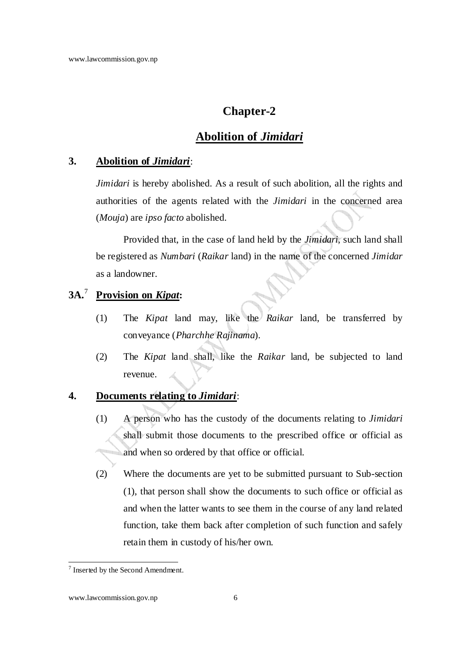### **Chapter-2**

### **Abolition of** *Jimidari*

#### **3. Abolition of** *Jimidari*:

*Jimidari* is hereby abolished. As a result of such abolition, all the rights and authorities of the agents related with the *Jimidari* in the concerned area (*Mouja*) are *ipso facto* abolished.

Provided that, in the case of land held by the *Jimidari*, such land shall be registered as *Numbari* (*Raikar* land) in the name of the concerned *Jimidar* as a landowner.

#### **3A.**<sup>7</sup>  **Provision on** *Kipat***:**

- (1) The *Kipat* land may, like the *Raikar* land, be transferred by conveyance (*Pharchhe Rajinama*).
- (2) The *Kipat* land shall, like the *Raikar* land, be subjected to land revenue.

### **4. Documents relating to** *Jimidari*:

- (1) A person who has the custody of the documents relating to *Jimidari* shall submit those documents to the prescribed office or official as and when so ordered by that office or official.
- (2) Where the documents are yet to be submitted pursuant to Sub-section (1), that person shall show the documents to such office or official as and when the latter wants to see them in the course of any land related function, take them back after completion of such function and safely retain them in custody of his/her own.

 7 Inserted by the Second Amendment.

www.lawcommission.gov.np 6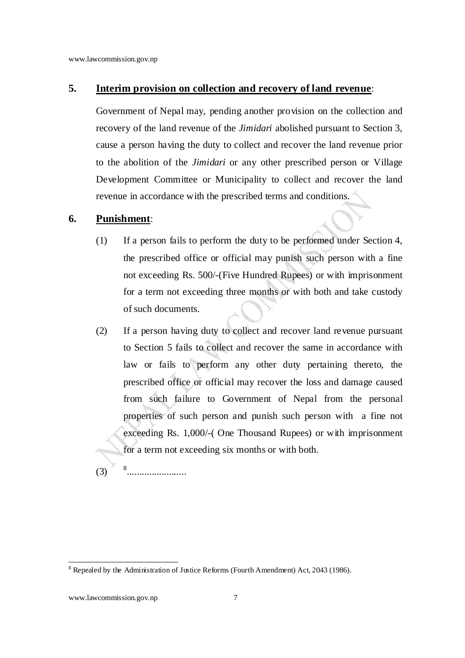#### **5. Interim provision on collection and recovery of land revenue**:

Government of Nepal may, pending another provision on the collection and recovery of the land revenue of the *Jimidari* abolished pursuant to Section 3, cause a person having the duty to collect and recover the land revenue prior to the abolition of the *Jimidari* or any other prescribed person or Village Development Committee or Municipality to collect and recover the land revenue in accordance with the prescribed terms and conditions.

#### **6. Punishment**:

- (1) If a person fails to perform the duty to be performed under Section 4, the prescribed office or official may punish such person with a fine not exceeding Rs. 500/-(Five Hundred Rupees) or with imprisonment for a term not exceeding three months or with both and take custody of such documents.
- (2) If a person having duty to collect and recover land revenue pursuant to Section 5 fails to collect and recover the same in accordance with law or fails to perform any other duty pertaining thereto, the prescribed office or official may recover the loss and damage caused from such failure to Government of Nepal from the personal properties of such person and punish such person with a fine not exceeding Rs. 1,000/-( One Thousand Rupees) or with imprisonment for a term not exceeding six months or with both.

 $(3)$ ........................

www.lawcommission.gov.np 7

 $8$  Repealed by the Administration of Justice Reforms (Fourth Amendment) Act, 2043 (1986).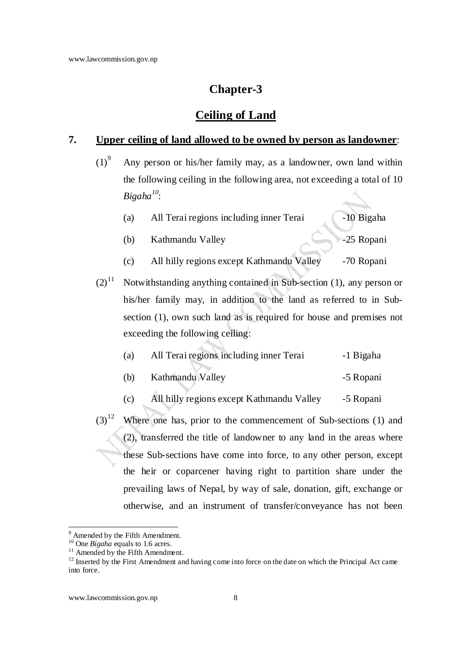### **Chapter-3**

### **Ceiling of Land**

#### **7. Upper ceiling of land allowed to be owned by person as landowner**:

- $(1)^9$  Any person or his/her family may, as a landowner, own land within the following ceiling in the following area, not exceeding a total of 10 *Bigaha<sup>10</sup>*:
	- (a) All Terai regions including inner Terai -10 Bigaha
	- (b) Kathmandu Valley -25 Ropani
	- (c) All hilly regions except Kathmandu Valley -70 Ropani
- $(2)^{11}$  Notwithstanding anything contained in Sub-section (1), any person or his/her family may, in addition to the land as referred to in Subsection (1), own such land as is required for house and premises not exceeding the following ceiling:

| (a) | All Terai regions including inner Terai | -1 Bigaha |
|-----|-----------------------------------------|-----------|
|     |                                         |           |

- (b) Kathmandu Valley -5 Ropani
- (c) All hilly regions except Kathmandu Valley -5 Ropani
- $(3)^{12}$  Where one has, prior to the commencement of Sub-sections (1) and (2), transferred the title of landowner to any land in the areas where these Sub-sections have come into force, to any other person, except the heir or coparcener having right to partition share under the prevailing laws of Nepal, by way of sale, donation, gift, exchange or otherwise, and an instrument of transfer/conveyance has not been

<sup>&</sup>lt;sup>9</sup> Amended by the Fifth Amendment.

<sup>&</sup>lt;sup>10</sup> One *Bigaha* equals to 1.6 acres.

 $11$  Amended by the Fifth Amendment.

 $12$  Inserted by the First Amendment and having come into force on the date on which the Principal Act came into force.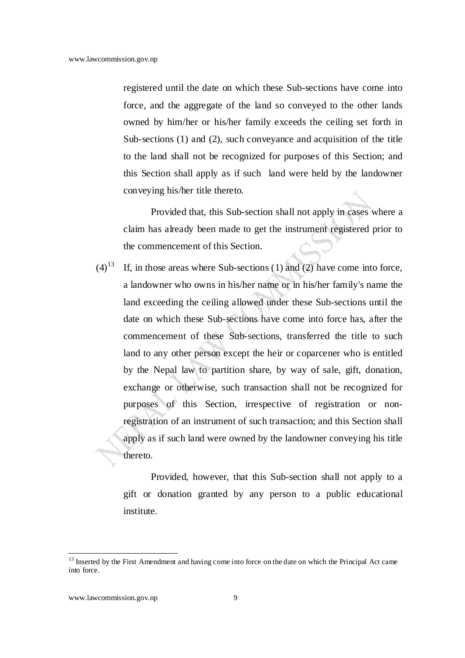registered until the date on which these Sub-sections have come into force, and the aggregate of the land so conveyed to the other lands owned by him/her or his/her family exceeds the ceiling set forth in Sub-sections (1) and (2), such conveyance and acquisition of the title to the land shall not be recognized for purposes of this Section; and this Section shall apply as if such land were held by the landowner conveying his/her title thereto.

Provided that, this Sub-section shall not apply in cases where a claim has already been made to get the instrument registered prior to the commencement of this Section.

 $(4)^{13}$  If, in those areas where Sub-sections (1) and (2) have come into force, a landowner who owns in his/her name or in his/her family's name the land exceeding the ceiling allowed under these Sub-sections until the date on which these Sub-sections have come into force has, after the commencement of these Sub-sections, transferred the title to such land to any other person except the heir or coparcener who is entitled by the Nepal law to partition share, by way of sale, gift, donation, exchange or otherwise, such transaction shall not be recognized for purposes of this Section, irrespective of registration or nonregistration of an instrument of such transaction; and this Section shall apply as if such land were owned by the landowner conveying his title thereto.

Provided, however, that this Sub-section shall not apply to a gift or donation granted by any person to a public educational institute.

<sup>&</sup>lt;sup>13</sup> Inserted by the First Amendment and having come into force on the date on which the Principal Act came into force.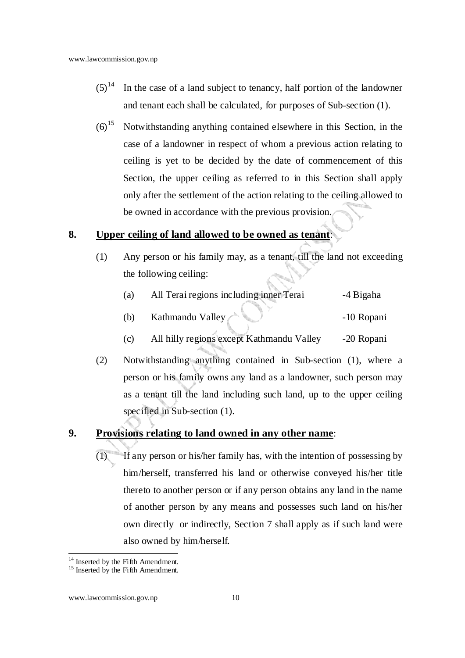- $(5)^{14}$  In the case of a land subject to tenancy, half portion of the landowner and tenant each shall be calculated, for purposes of Sub-section (1).
- $(6)^{15}$  Notwithstanding anything contained elsewhere in this Section, in the case of a landowner in respect of whom a previous action relating to ceiling is yet to be decided by the date of commencement of this Section, the upper ceiling as referred to in this Section shall apply only after the settlement of the action relating to the ceiling allowed to be owned in accordance with the previous provision.

### **8. Upper ceiling of land allowed to be owned as tenant**:

(1) Any person or his family may, as a tenant, till the land not exceeding the following ceiling:

| (a) | All Terai regions including inner Terai   | -4 Bigaha  |
|-----|-------------------------------------------|------------|
| (b) | Kathmandu Valley                          | -10 Ropani |
| (c) | All hilly regions except Kathmandu Valley | -20 Ropani |

(2) Notwithstanding anything contained in Sub-section (1), where a person or his family owns any land as a landowner, such person may as a tenant till the land including such land, up to the upper ceiling specified in Sub-section (1).

### **9. Provisions relating to land owned in any other name**:

(1) If any person or his/her family has, with the intention of possessing by him/herself, transferred his land or otherwise conveyed his/her title thereto to another person or if any person obtains any land in the name of another person by any means and possesses such land on his/her own directly or indirectly, Section 7 shall apply as if such land were also owned by him/herself.

<sup>&</sup>lt;sup>14</sup> Inserted by the Fifth Amendment.

<sup>&</sup>lt;sup>15</sup> Inserted by the Fifth Amendment.

www.lawcommission.gov.np 10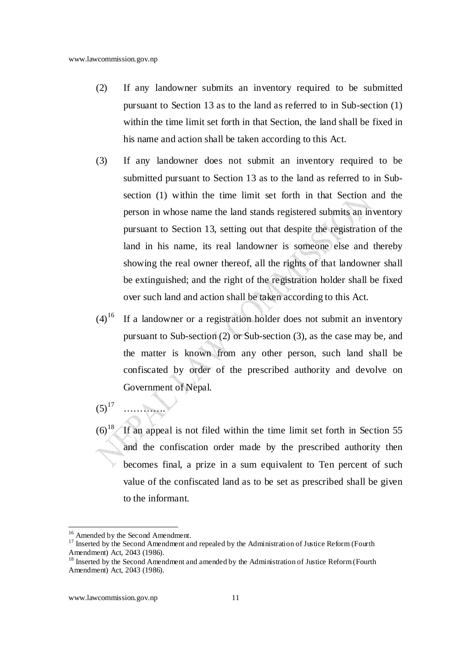- (2) If any landowner submits an inventory required to be submitted pursuant to Section 13 as to the land as referred to in Sub-section (1) within the time limit set forth in that Section, the land shall be fixed in his name and action shall be taken according to this Act.
- (3) If any landowner does not submit an inventory required to be submitted pursuant to Section 13 as to the land as referred to in Subsection (1) within the time limit set forth in that Section and the person in whose name the land stands registered submits an inventory pursuant to Section 13, setting out that despite the registration of the land in his name, its real landowner is someone else and thereby showing the real owner thereof, all the rights of that landowner shall be extinguished; and the right of the registration holder shall be fixed over such land and action shall be taken according to this Act.
- $(4)^{16}$  If a landowner or a registration holder does not submit an inventory pursuant to Sub-section (2) or Sub-section (3), as the case may be, and the matter is known from any other person, such land shall be confiscated by order of the prescribed authority and devolve on Government of Nepal.
- $(5)^{17}$ ………….
- $(6)^{18}$  If an appeal is not filed within the time limit set forth in Section 55 and the confiscation order made by the prescribed authority then becomes final, a prize in a sum equivalent to Ten percent of such value of the confiscated land as to be set as prescribed shall be given to the informant.

<sup>&</sup>lt;sup>16</sup> Amended by the Second Amendment.

<sup>&</sup>lt;sup>17</sup> Inserted by the Second Amendment and repealed by the Administration of Justice Reform (Fourth Amendment) Act, 2043 (1986).

<sup>&</sup>lt;sup>18</sup> Inserted by the Second Amendment and amended by the Administration of Justice Reform (Fourth Amendment) Act, 2043 (1986).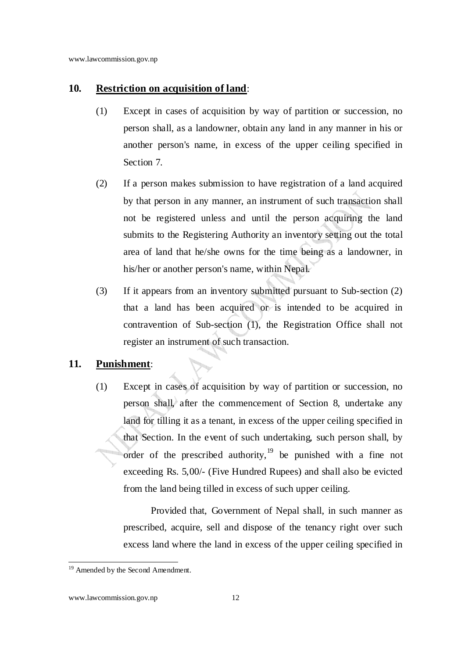#### **10. Restriction on acquisition of land**:

- (1) Except in cases of acquisition by way of partition or succession, no person shall, as a landowner, obtain any land in any manner in his or another person's name, in excess of the upper ceiling specified in Section 7.
- (2) If a person makes submission to have registration of a land acquired by that person in any manner, an instrument of such transaction shall not be registered unless and until the person acquiring the land submits to the Registering Authority an inventory setting out the total area of land that he/she owns for the time being as a landowner, in his/her or another person's name, within Nepal.
- (3) If it appears from an inventory submitted pursuant to Sub-section (2) that a land has been acquired or is intended to be acquired in contravention of Sub-section (1), the Registration Office shall not register an instrument of such transaction.

#### **11. Punishment**:

(1) Except in cases of acquisition by way of partition or succession, no person shall, after the commencement of Section 8, undertake any land for tilling it as a tenant, in excess of the upper ceiling specified in that Section. In the event of such undertaking, such person shall, by order of the prescribed authority,  $19$  be punished with a fine not exceeding Rs. 5,00/- (Five Hundred Rupees) and shall also be evicted from the land being tilled in excess of such upper ceiling.

Provided that, Government of Nepal shall, in such manner as prescribed, acquire, sell and dispose of the tenancy right over such excess land where the land in excess of the upper ceiling specified in

 <sup>19</sup> Amended by the Second Amendment.

www.lawcommission.gov.np 12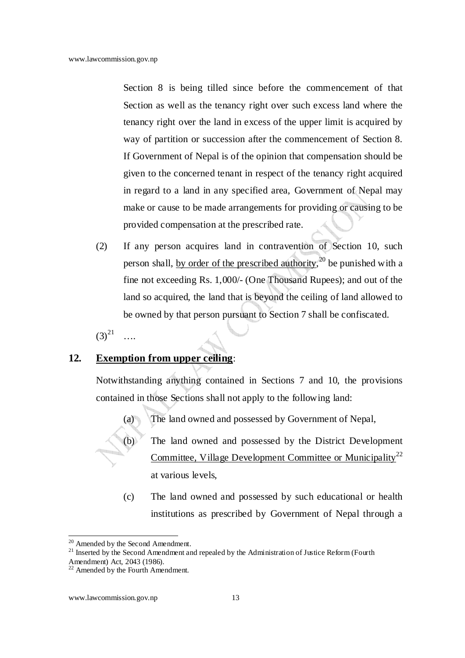Section 8 is being tilled since before the commencement of that Section as well as the tenancy right over such excess land where the tenancy right over the land in excess of the upper limit is acquired by way of partition or succession after the commencement of Section 8. If Government of Nepal is of the opinion that compensation should be given to the concerned tenant in respect of the tenancy right acquired in regard to a land in any specified area, Government of Nepal may make or cause to be made arrangements for providing or causing to be provided compensation at the prescribed rate.

(2) If any person acquires land in contravention of Section 10, such person shall, by order of the prescribed authority,<sup>20</sup> be punished with a fine not exceeding Rs. 1,000/- (One Thousand Rupees); and out of the land so acquired, the land that is beyond the ceiling of land allowed to be owned by that person pursuant to Section 7 shall be confiscated.

 $(3)^{21}$ ….

### **12. Exemption from upper ceiling**:

Notwithstanding anything contained in Sections 7 and 10, the provisions contained in those Sections shall not apply to the following land:

(a) The land owned and possessed by Government of Nepal,

- (b) The land owned and possessed by the District Development Committee, Village Development Committee or Municipality<sup>22</sup> at various levels,
- (c) The land owned and possessed by such educational or health institutions as prescribed by Government of Nepal through a

<sup>&</sup>lt;sup>20</sup> Amended by the Second Amendment.

<sup>&</sup>lt;sup>21</sup> Inserted by the Second Amendment and repealed by the Administration of Justice Reform (Fourth Amendment) Act, 2043 (1986).

<sup>&</sup>lt;sup>22</sup> Amended by the Fourth Amendment.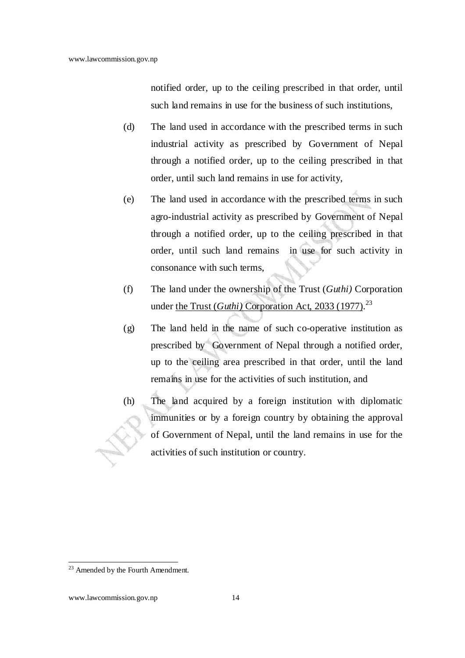notified order, up to the ceiling prescribed in that order, until such land remains in use for the business of such institutions,

- (d) The land used in accordance with the prescribed terms in such industrial activity as prescribed by Government of Nepal through a notified order, up to the ceiling prescribed in that order, until such land remains in use for activity,
- (e) The land used in accordance with the prescribed terms in such agro-industrial activity as prescribed by Government of Nepal through a notified order, up to the ceiling prescribed in that order, until such land remains in use for such activity in consonance with such terms,
- (f) The land under the ownership of the Trust (*Guthi)* Corporation under the Trust (*Guthi*) Corporation Act, 2033 (1977).<sup>23</sup>
- (g) The land held in the name of such co-operative institution as prescribed by Government of Nepal through a notified order, up to the ceiling area prescribed in that order, until the land remains in use for the activities of such institution, and
- (h) The land acquired by a foreign institution with diplomatic immunities or by a foreign country by obtaining the approval of Government of Nepal, until the land remains in use for the activities of such institution or country.

<sup>&</sup>lt;sup>23</sup> Amended by the Fourth Amendment.

www.lawcommission.gov.np 14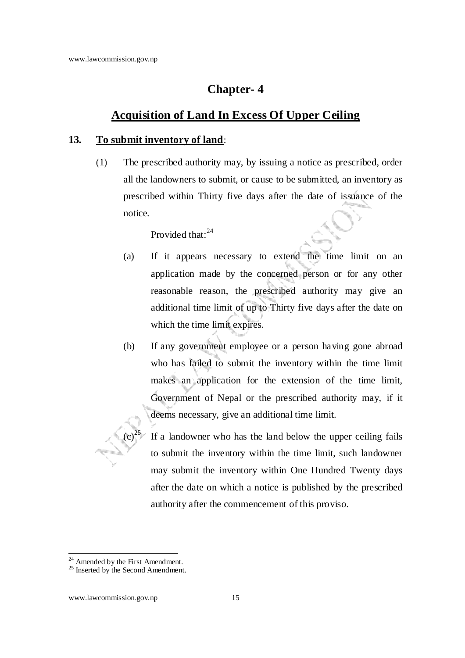### **Chapter- 4**

### **Acquisition of Land In Excess Of Upper Ceiling**

#### **13. To submit inventory of land**:

(1) The prescribed authority may, by issuing a notice as prescribed, order all the landowners to submit, or cause to be submitted, an inventory as prescribed within Thirty five days after the date of issuance of the notice.

Provided that:<sup>24</sup>

- (a) If it appears necessary to extend the time limit on an application made by the concerned person or for any other reasonable reason, the prescribed authority may give an additional time limit of up to Thirty five days after the date on which the time limit expires.
- (b) If any government employee or a person having gone abroad who has failed to submit the inventory within the time limit makes an application for the extension of the time limit, Government of Nepal or the prescribed authority may, if it deems necessary, give an additional time limit.
	- If a landowner who has the land below the upper ceiling fails to submit the inventory within the time limit, such landowner may submit the inventory within One Hundred Twenty days after the date on which a notice is published by the prescribed authority after the commencement of this proviso.

<sup>&</sup>lt;sup>24</sup> Amended by the First Amendment.

<sup>&</sup>lt;sup>25</sup> Inserted by the Second Amendment.

www.lawcommission.gov.np 15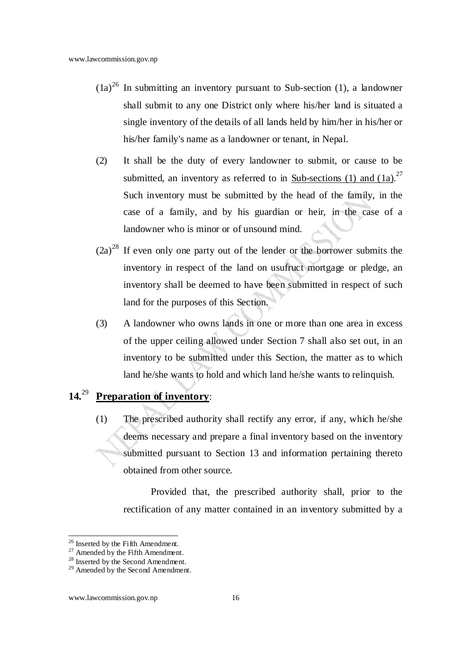- $(1a)^{26}$  In submitting an inventory pursuant to Sub-section (1), a landowner shall submit to any one District only where his/her land is situated a single inventory of the details of all lands held by him/her in his/her or his/her family's name as a landowner or tenant, in Nepal.
- (2) It shall be the duty of every landowner to submit, or cause to be submitted, an inventory as referred to in  $\frac{\text{Sub-sections (1) and (1a)}}{1}$ .<sup>27</sup> Such inventory must be submitted by the head of the family, in the case of a family, and by his guardian or heir, in the case of a landowner who is minor or of unsound mind.
- $(2a)^{28}$  If even only one party out of the lender or the borrower submits the inventory in respect of the land on usufruct mortgage or pledge, an inventory shall be deemed to have been submitted in respect of such land for the purposes of this Section.
- (3) A landowner who owns lands in one or more than one area in excess of the upper ceiling allowed under Section 7 shall also set out, in an inventory to be submitted under this Section, the matter as to which land he/she wants to hold and which land he/she wants to relinquish.

## **14.**<sup>29</sup> **Preparation of inventory**:

(1) The prescribed authority shall rectify any error, if any, which he/she deems necessary and prepare a final inventory based on the inventory submitted pursuant to Section 13 and information pertaining thereto obtained from other source.

Provided that, the prescribed authority shall, prior to the rectification of any matter contained in an inventory submitted by a

<sup>&</sup>lt;sup>26</sup> Inserted by the Fifth Amendment.

 $27$  Amended by the Fifth Amendment.

<sup>&</sup>lt;sup>28</sup> Inserted by the Second Amendment.

<sup>&</sup>lt;sup>29</sup> Amended by the Second Amendment.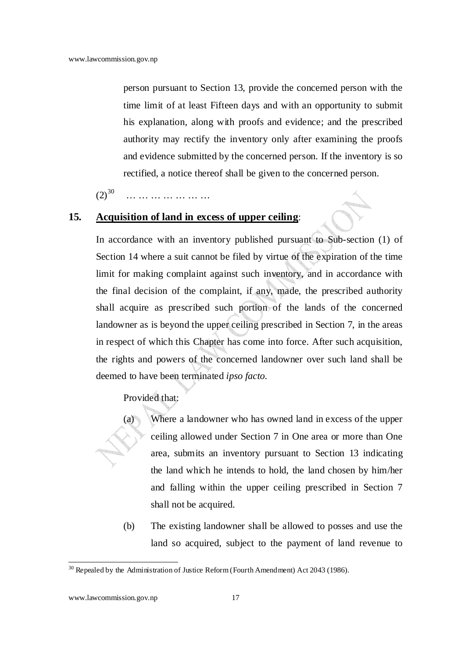person pursuant to Section 13, provide the concerned person with the time limit of at least Fifteen days and with an opportunity to submit his explanation, along with proofs and evidence; and the prescribed authority may rectify the inventory only after examining the proofs and evidence submitted by the concerned person. If the inventory is so rectified, a notice thereof shall be given to the concerned person.

 $(2)^{30}$ … … … … … … … … … …

### **15. Acquisition of land in excess of upper ceiling**:

In accordance with an inventory published pursuant to Sub-section (1) of Section 14 where a suit cannot be filed by virtue of the expiration of the time limit for making complaint against such inventory, and in accordance with the final decision of the complaint, if any, made, the prescribed authority shall acquire as prescribed such portion of the lands of the concerned landowner as is beyond the upper ceiling prescribed in Section 7, in the areas in respect of which this Chapter has come into force. After such acquisition, the rights and powers of the concerned landowner over such land shall be deemed to have been terminated *ipso facto*.

Provided that:

(a) Where a landowner who has owned land in excess of the upper ceiling allowed under Section 7 in One area or more than One area, submits an inventory pursuant to Section 13 indicating the land which he intends to hold, the land chosen by him/her and falling within the upper ceiling prescribed in Section 7 shall not be acquired.

(b) The existing landowner shall be allowed to posses and use the land so acquired, subject to the payment of land revenue to

 $30$  Repealed by the Administration of Justice Reform (Fourth Amendment) Act 2043 (1986).

www.lawcommission.gov.np 17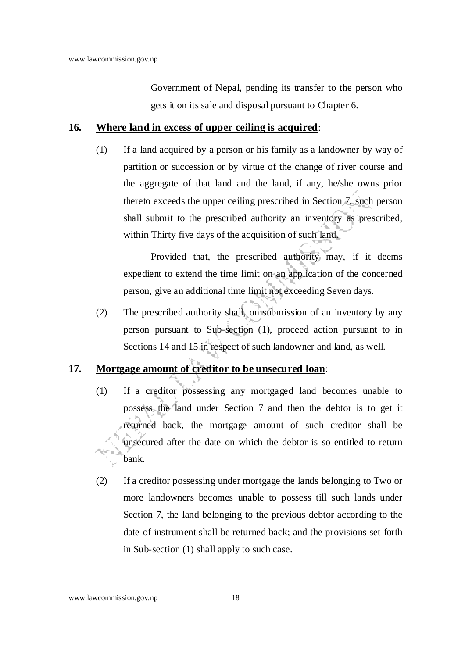Government of Nepal, pending its transfer to the person who gets it on its sale and disposal pursuant to Chapter 6.

### **16. Where land in excess of upper ceiling is acquired**:

(1) If a land acquired by a person or his family as a landowner by way of partition or succession or by virtue of the change of river course and the aggregate of that land and the land, if any, he/she owns prior thereto exceeds the upper ceiling prescribed in Section 7, such person shall submit to the prescribed authority an inventory as prescribed, within Thirty five days of the acquisition of such land.

Provided that, the prescribed authority may, if it deems expedient to extend the time limit on an application of the concerned person, give an additional time limit not exceeding Seven days.

(2) The prescribed authority shall, on submission of an inventory by any person pursuant to Sub-section (1), proceed action pursuant to in Sections 14 and 15 in respect of such landowner and land, as well.

### **17. Mortgage amount of creditor to be unsecured loan**:

- (1) If a creditor possessing any mortgaged land becomes unable to possess the land under Section 7 and then the debtor is to get it returned back, the mortgage amount of such creditor shall be unsecured after the date on which the debtor is so entitled to return bank.
- (2) If a creditor possessing under mortgage the lands belonging to Two or more landowners becomes unable to possess till such lands under Section 7, the land belonging to the previous debtor according to the date of instrument shall be returned back; and the provisions set forth in Sub-section (1) shall apply to such case.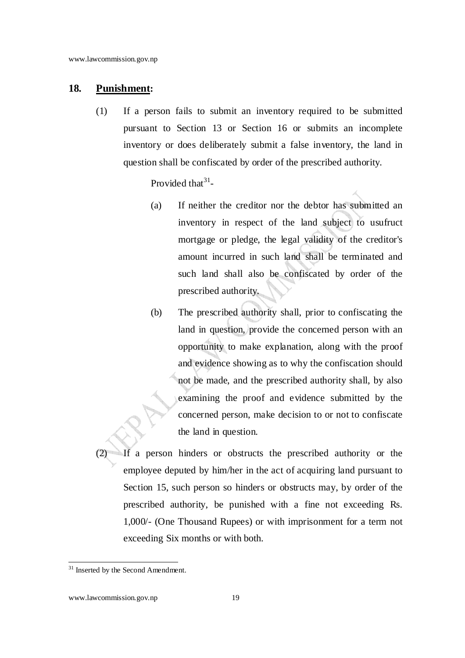#### **18. Punishment:**

(1) If a person fails to submit an inventory required to be submitted pursuant to Section 13 or Section 16 or submits an incomplete inventory or does deliberately submit a false inventory, the land in question shall be confiscated by order of the prescribed authority.

Provided that  $3^1$ -

- (a) If neither the creditor nor the debtor has submitted an inventory in respect of the land subject to usufruct mortgage or pledge, the legal validity of the creditor's amount incurred in such land shall be terminated and such land shall also be confiscated by order of the prescribed authority.
- (b) The prescribed authority shall, prior to confiscating the land in question, provide the concerned person with an opportunity to make explanation, along with the proof and evidence showing as to why the confiscation should not be made, and the prescribed authority shall, by also examining the proof and evidence submitted by the concerned person, make decision to or not to confiscate the land in question.
- $\overline{IF}$  a person hinders or obstructs the prescribed authority or the employee deputed by him/her in the act of acquiring land pursuant to Section 15, such person so hinders or obstructs may, by order of the prescribed authority, be punished with a fine not exceeding Rs. 1,000/- (One Thousand Rupees) or with imprisonment for a term not exceeding Six months or with both.

<sup>&</sup>lt;sup>31</sup> Inserted by the Second Amendment.

www.lawcommission.gov.np 19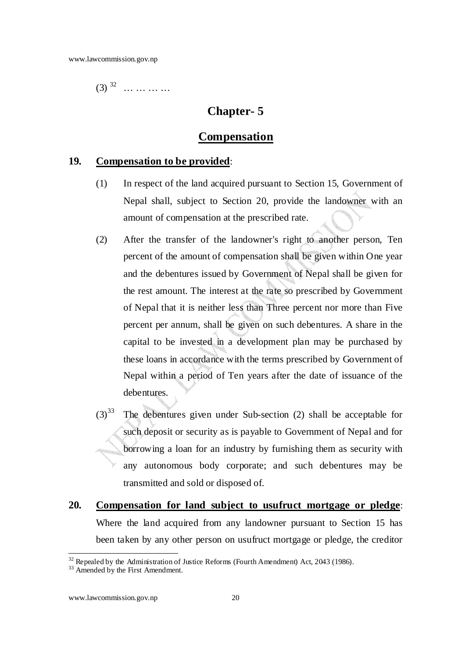$(3)$  <sup>32</sup> ... ... ... ...

### **Chapter- 5**

### **Compensation**

#### **19. Compensation to be provided**:

- (1) In respect of the land acquired pursuant to Section 15, Government of Nepal shall, subject to Section 20, provide the landowner with an amount of compensation at the prescribed rate.
- (2) After the transfer of the landowner's right to another person, Ten percent of the amount of compensation shall be given within One year and the debentures issued by Government of Nepal shall be given for the rest amount. The interest at the rate so prescribed by Government of Nepal that it is neither less than Three percent nor more than Five percent per annum, shall be given on such debentures. A share in the capital to be invested in a development plan may be purchased by these loans in accordance with the terms prescribed by Government of Nepal within a period of Ten years after the date of issuance of the debentures.
- $(3)^{33}$  The debentures given under Sub-section (2) shall be acceptable for such deposit or security as is payable to Government of Nepal and for borrowing a loan for an industry by furnishing them as security with any autonomous body corporate; and such debentures may be transmitted and sold or disposed of.
- **20. Compensation for land subject to usufruct mortgage or pledge**: Where the land acquired from any landowner pursuant to Section 15 has been taken by any other person on usufruct mortgage or pledge, the creditor

 $32$  Repealed by the Administration of Justice Reforms (Fourth Amendment) Act, 2043 (1986).

<sup>&</sup>lt;sup>33</sup> Amended by the First Amendment.

www.lawcommission.gov.np 20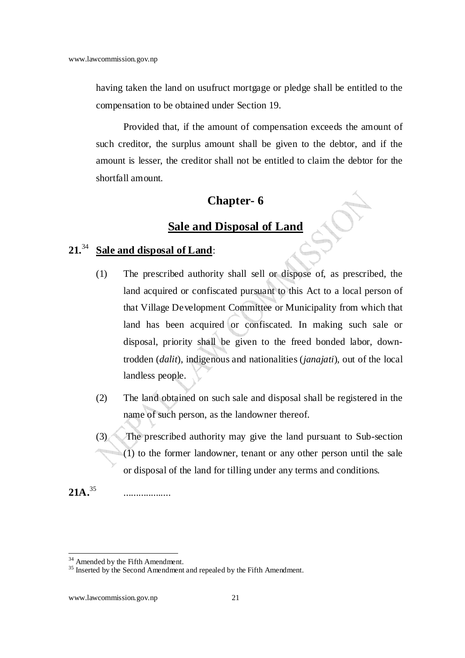having taken the land on usufruct mortgage or pledge shall be entitled to the compensation to be obtained under Section 19.

Provided that, if the amount of compensation exceeds the amount of such creditor, the surplus amount shall be given to the debtor, and if the amount is lesser, the creditor shall not be entitled to claim the debtor for the shortfall amount.

### **Chapter- 6**

## **Sale and Disposal of Land**

## **21.**<sup>34</sup> **Sale and disposal of Land**:

- (1) The prescribed authority shall sell or dispose of, as prescribed, the land acquired or confiscated pursuant to this Act to a local person of that Village Development Committee or Municipality from which that land has been acquired or confiscated. In making such sale or disposal, priority shall be given to the freed bonded labor, downtrodden (*dalit*), indigenous and nationalities (*janajati*), out of the local landless people.
- (2) The land obtained on such sale and disposal shall be registered in the name of such person, as the landowner thereof.
- (3) The prescribed authority may give the land pursuant to Sub-section  $(1)$  to the former landowner, tenant or any other person until the sale or disposal of the land for tilling under any terms and conditions.

**21A.**<sup>35</sup> ...................

<sup>&</sup>lt;sup>34</sup> Amended by the Fifth Amendment.

<sup>&</sup>lt;sup>35</sup> Inserted by the Second Amendment and repealed by the Fifth Amendment.

www.lawcommission.gov.np 21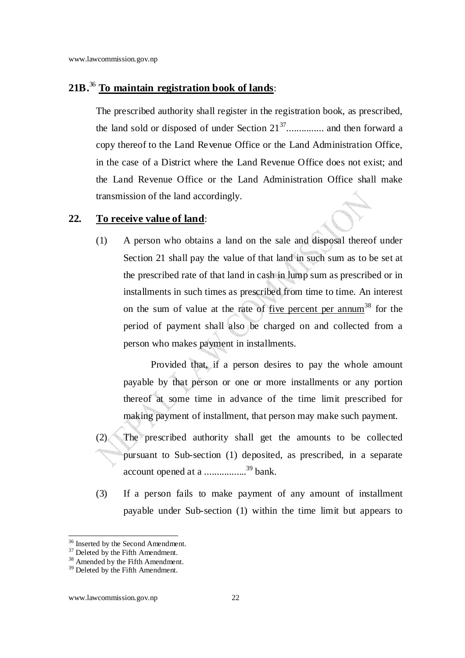### **21B.**<sup>36</sup> **To maintain registration book of lands**:

The prescribed authority shall register in the registration book, as prescribed, the land sold or disposed of under Section 21<sup>37</sup>............... and then forward a copy thereof to the Land Revenue Office or the Land Administration Office, in the case of a District where the Land Revenue Office does not exist; and the Land Revenue Office or the Land Administration Office shall make transmission of the land accordingly.

### **22. To receive value of land**:

(1) A person who obtains a land on the sale and disposal thereof under Section 21 shall pay the value of that land in such sum as to be set at the prescribed rate of that land in cash in lump sum as prescribed or in installments in such times as prescribed from time to time. An interest on the sum of value at the rate of five percent per annum<sup>38</sup> for the period of payment shall also be charged on and collected from a person who makes payment in installments.

Provided that, if a person desires to pay the whole amount payable by that person or one or more installments or any portion thereof at some time in advance of the time limit prescribed for making payment of installment, that person may make such payment.

- (2) The prescribed authority shall get the amounts to be collected pursuant to Sub-section (1) deposited, as prescribed, in a separate account opened at a .................<sup>39</sup> bank.
- (3) If a person fails to make payment of any amount of installment payable under Sub-section (1) within the time limit but appears to

<sup>&</sup>lt;sup>36</sup> Inserted by the Second Amendment.

 $37$  Deleted by the Fifth Amendment.

<sup>&</sup>lt;sup>38</sup> Amended by the Fifth Amendment.

<sup>&</sup>lt;sup>39</sup> Deleted by the Fifth Amendment.

www.lawcommission.gov.np 22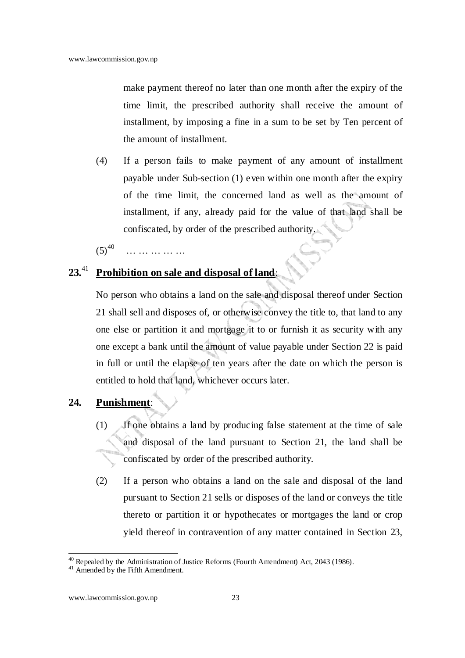make payment thereof no later than one month after the expiry of the time limit, the prescribed authority shall receive the amount of installment, by imposing a fine in a sum to be set by Ten percent of the amount of installment.

(4) If a person fails to make payment of any amount of installment payable under Sub-section (1) even within one month after the expiry of the time limit, the concerned land as well as the amount of installment, if any, already paid for the value of that land shall be confiscated, by order of the prescribed authority.

 $(5)^{40}$ … … … … … … … … …

### **23.**<sup>41</sup> **Prohibition on sale and disposal of land**:

No person who obtains a land on the sale and disposal thereof under Section 21 shall sell and disposes of, or otherwise convey the title to, that land to any one else or partition it and mortgage it to or furnish it as security with any one except a bank until the amount of value payable under Section 22 is paid in full or until the elapse of ten years after the date on which the person is entitled to hold that land, whichever occurs later.

- **24. Punishment**:
	- (1) If one obtains a land by producing false statement at the time of sale and disposal of the land pursuant to Section 21, the land shall be confiscated by order of the prescribed authority.
	- (2) If a person who obtains a land on the sale and disposal of the land pursuant to Section 21 sells or disposes of the land or conveys the title thereto or partition it or hypothecates or mortgages the land or crop yield thereof in contravention of any matter contained in Section 23,

 $40$  Repealed by the Administration of Justice Reforms (Fourth Amendment) Act, 2043 (1986).

<sup>&</sup>lt;sup>41</sup> Amended by the Fifth Amendment.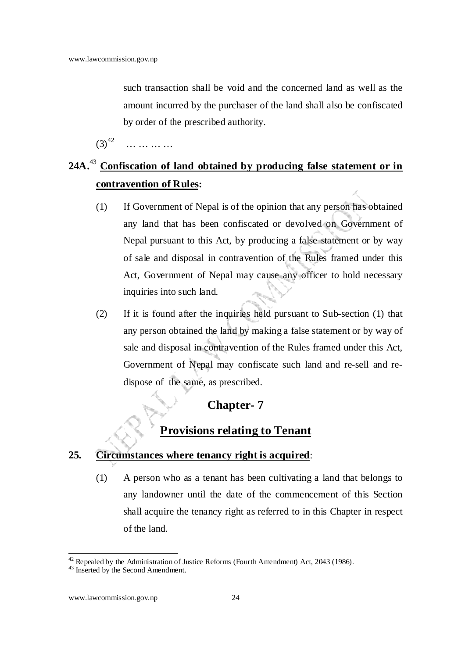such transaction shall be void and the concerned land as well as the amount incurred by the purchaser of the land shall also be confiscated by order of the prescribed authority.

 $(3)^{42}$ … … …

## **24A.**<sup>43</sup> **Confiscation of land obtained by producing false statement or in contravention of Rules:**

- (1) If Government of Nepal is of the opinion that any person has obtained any land that has been confiscated or devolved on Government of Nepal pursuant to this Act, by producing a false statement or by way of sale and disposal in contravention of the Rules framed under this Act, Government of Nepal may cause any officer to hold necessary inquiries into such land.
- (2) If it is found after the inquiries held pursuant to Sub-section (1) that any person obtained the land by making a false statement or by way of sale and disposal in contravention of the Rules framed under this Act, Government of Nepal may confiscate such land and re-sell and redispose of the same, as prescribed.

### **Chapter- 7**

## **Provisions relating to Tenant**

### **25. Circumstances where tenancy right is acquired**:

(1) A person who as a tenant has been cultivating a land that belongs to any landowner until the date of the commencement of this Section shall acquire the tenancy right as referred to in this Chapter in respect of the land.

 $42$  Repealed by the Administration of Justice Reforms (Fourth Amendment) Act, 2043 (1986).

<sup>&</sup>lt;sup>43</sup> Inserted by the Second Amendment.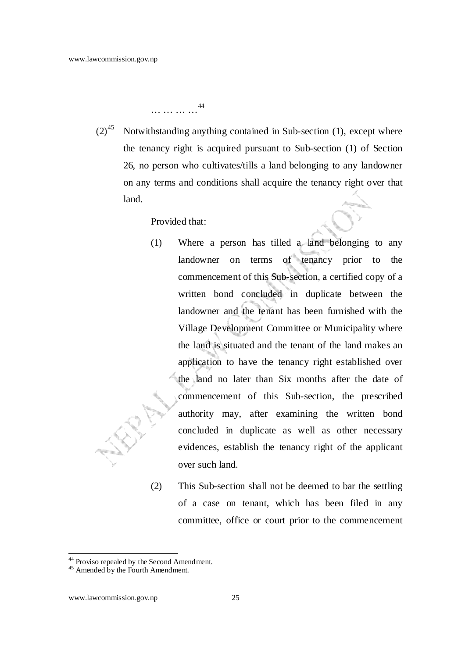… … … …<sup>44</sup>

 $(2)^{45}$  Notwithstanding anything contained in Sub-section (1), except where the tenancy right is acquired pursuant to Sub-section (1) of Section 26, no person who cultivates/tills a land belonging to any landowner on any terms and conditions shall acquire the tenancy right over that land.

Provided that:

- (1) Where a person has tilled a land belonging to any landowner on terms of tenancy prior to the commencement of this Sub-section, a certified copy of a written bond concluded in duplicate between the landowner and the tenant has been furnished with the Village Development Committee or Municipality where the land is situated and the tenant of the land makes an application to have the tenancy right established over the land no later than Six months after the date of commencement of this Sub-section, the prescribed authority may, after examining the written bond concluded in duplicate as well as other necessary evidences, establish the tenancy right of the applicant over such land.
- (2) This Sub-section shall not be deemed to bar the settling of a case on tenant, which has been filed in any committee, office or court prior to the commencement

<sup>&</sup>lt;sup>44</sup> Proviso repealed by the Second Amendment.

<sup>&</sup>lt;sup>45</sup> Amended by the Fourth Amendment.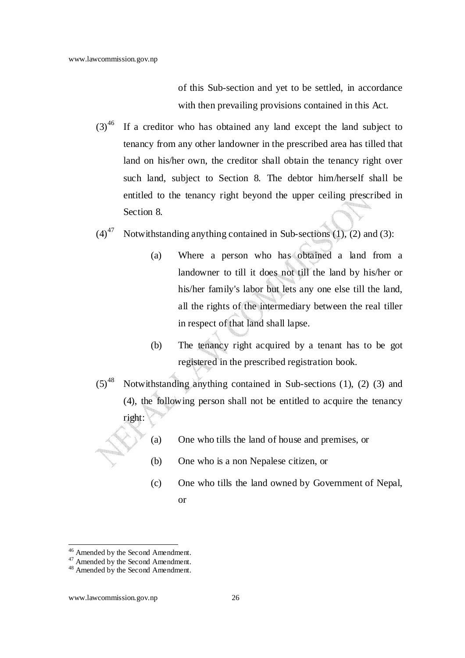of this Sub-section and yet to be settled, in accordance with then prevailing provisions contained in this Act.

- $(3)^{46}$  If a creditor who has obtained any land except the land subject to tenancy from any other landowner in the prescribed area has tilled that land on his/her own, the creditor shall obtain the tenancy right over such land, subject to Section 8. The debtor him/herself shall be entitled to the tenancy right beyond the upper ceiling prescribed in Section 8.
- (4)<sup>47</sup> Notwithstanding anything contained in Sub-sections (1), (2) and (3):
	- (a) Where a person who has obtained a land from a landowner to till it does not till the land by his/her or his/her family's labor but lets any one else till the land, all the rights of the intermediary between the real tiller in respect of that land shall lapse.
	- (b) The tenancy right acquired by a tenant has to be got registered in the prescribed registration book.
- $(5)^{48}$  Notwithstanding anything contained in Sub-sections (1), (2) (3) and (4), the following person shall not be entitled to acquire the tenancy right:
	- (a) One who tills the land of house and premises, or
	- (b) One who is a non Nepalese citizen, or
	- (c) One who tills the land owned by Government of Nepal, or

l <sup>46</sup> Amended by the Second Amendment.

<sup>47</sup> Amended by the Second Amendment.

<sup>48</sup> Amended by the Second Amendment.

www.lawcommission.gov.np 26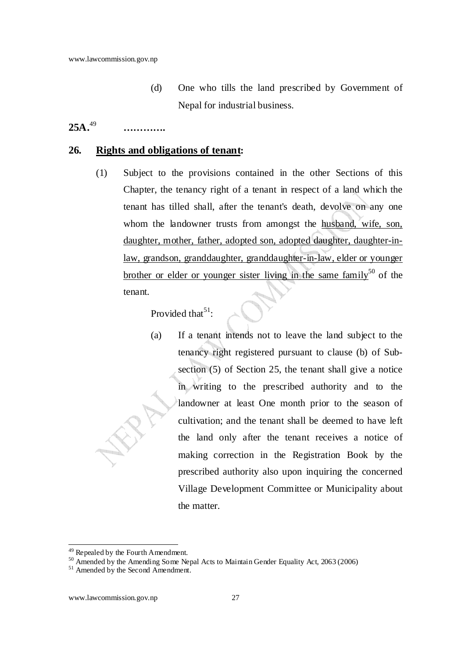(d) One who tills the land prescribed by Government of Nepal for industrial business.

#### $25A.<sup>49</sup>$  **………….**

### **26. Rights and obligations of tenant:**

(1) Subject to the provisions contained in the other Sections of this Chapter, the tenancy right of a tenant in respect of a land which the tenant has tilled shall, after the tenant's death, devolve on any one whom the landowner trusts from amongst the husband, wife, son, daughter, mother, father, adopted son, adopted daughter, daughter-inlaw, grandson, granddaughter, granddaughter-in-law, elder or younger brother or elder or younger sister living in the same family<sup>50</sup> of the tenant.

Provided that  $5^1$ :

(a) If a tenant intends not to leave the land subject to the tenancy right registered pursuant to clause (b) of Subsection (5) of Section 25, the tenant shall give a notice in writing to the prescribed authority and to the landowner at least One month prior to the season of cultivation; and the tenant shall be deemed to have left the land only after the tenant receives a notice of making correction in the Registration Book by the prescribed authority also upon inquiring the concerned Village Development Committee or Municipality about the matter.

l <sup>49</sup> Repealed by the Fourth Amendment.

<sup>&</sup>lt;sup>50</sup> Amended by the Amending Some Nepal Acts to Maintain Gender Equality Act, 2063 (2006)

<sup>&</sup>lt;sup>51</sup> Amended by the Second Amendment.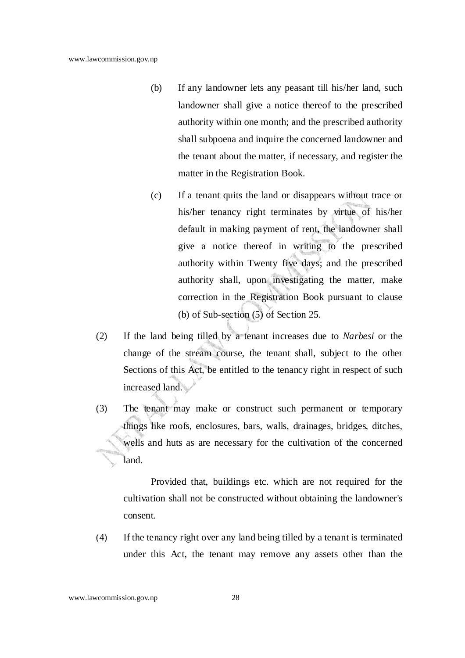- (b) If any landowner lets any peasant till his/her land, such landowner shall give a notice thereof to the prescribed authority within one month; and the prescribed authority shall subpoena and inquire the concerned landowner and the tenant about the matter, if necessary, and register the matter in the Registration Book.
- (c) If a tenant quits the land or disappears without trace or his/her tenancy right terminates by virtue of his/her default in making payment of rent, the landowner shall give a notice thereof in writing to the prescribed authority within Twenty five days; and the prescribed authority shall, upon investigating the matter, make correction in the Registration Book pursuant to clause (b) of Sub-section (5) of Section 25.
- (2) If the land being tilled by a tenant increases due to *Narbesi* or the change of the stream course, the tenant shall, subject to the other Sections of this Act, be entitled to the tenancy right in respect of such increased land.
- (3) The tenant may make or construct such permanent or temporary things like roofs, enclosures, bars, walls, drainages, bridges, ditches, wells and huts as are necessary for the cultivation of the concerned land.

Provided that, buildings etc. which are not required for the cultivation shall not be constructed without obtaining the landowner's consent.

(4) If the tenancy right over any land being tilled by a tenant is terminated under this Act, the tenant may remove any assets other than the

www.lawcommission.gov.np 28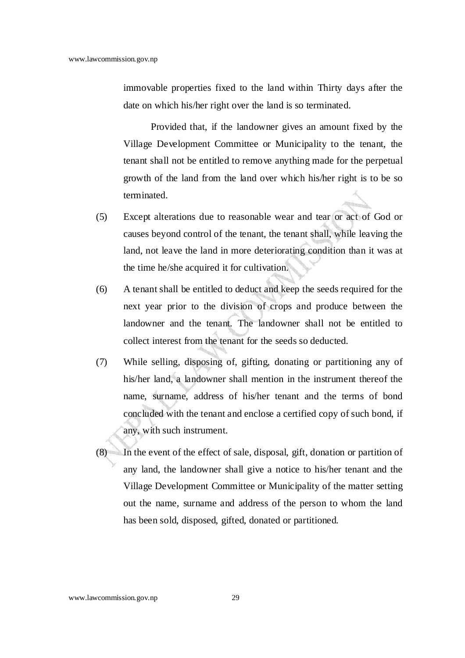immovable properties fixed to the land within Thirty days after the date on which his/her right over the land is so terminated.

Provided that, if the landowner gives an amount fixed by the Village Development Committee or Municipality to the tenant, the tenant shall not be entitled to remove anything made for the perpetual growth of the land from the land over which his/her right is to be so terminated.

- (5) Except alterations due to reasonable wear and tear or act of God or causes beyond control of the tenant, the tenant shall, while leaving the land, not leave the land in more deteriorating condition than it was at the time he/she acquired it for cultivation.
- (6) A tenant shall be entitled to deduct and keep the seeds required for the next year prior to the division of crops and produce between the landowner and the tenant. The landowner shall not be entitled to collect interest from the tenant for the seeds so deducted.
- (7) While selling, disposing of, gifting, donating or partitioning any of his/her land, a landowner shall mention in the instrument thereof the name, surname, address of his/her tenant and the terms of bond concluded with the tenant and enclose a certified copy of such bond, if any, with such instrument.
- (8) In the event of the effect of sale, disposal, gift, donation or partition of any land, the landowner shall give a notice to his/her tenant and the Village Development Committee or Municipality of the matter setting out the name, surname and address of the person to whom the land has been sold, disposed, gifted, donated or partitioned.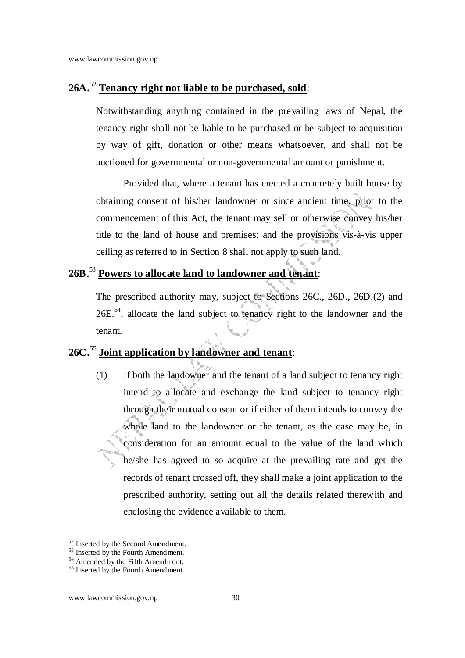### **26A.**<sup>52</sup> **Tenancy right not liable to be purchased, sold**:

Notwithstanding anything contained in the prevailing laws of Nepal, the tenancy right shall not be liable to be purchased or be subject to acquisition by way of gift, donation or other means whatsoever, and shall not be auctioned for governmental or non-governmental amount or punishment.

Provided that, where a tenant has erected a concretely built house by obtaining consent of his/her landowner or since ancient time, prior to the commencement of this Act, the tenant may sell or otherwise convey his/her title to the land of house and premises; and the provisions vis-à-vis upper ceiling as referred to in Section 8 shall not apply to such land.

## **26B**. <sup>53</sup> **Powers to allocate land to landowner and tenant**:

 The prescribed authority may, subject to Sections 26C., 26D., 26D.(2) and  $26E<sup>54</sup>$ , allocate the land subject to tenancy right to the landowner and the tenant.

## **26C.**<sup>55</sup> **Joint application by landowner and tenant**:

(1) If both the landowner and the tenant of a land subject to tenancy right intend to allocate and exchange the land subject to tenancy right through their mutual consent or if either of them intends to convey the whole land to the landowner or the tenant, as the case may be, in consideration for an amount equal to the value of the land which he/she has agreed to so acquire at the prevailing rate and get the records of tenant crossed off, they shall make a joint application to the prescribed authority, setting out all the details related therewith and enclosing the evidence available to them.

<sup>&</sup>lt;sup>52</sup> Inserted by the Second Amendment.

 $53$  Inserted by the Fourth Amendment.

<sup>&</sup>lt;sup>54</sup> Amended by the Fifth Amendment.

<sup>&</sup>lt;sup>55</sup> Inserted by the Fourth Amendment.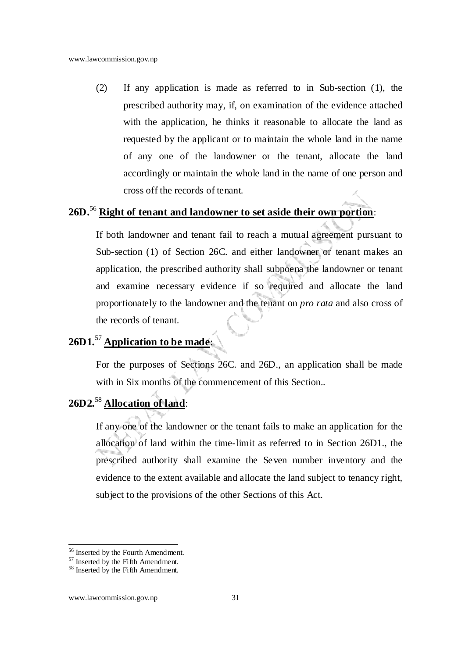(2) If any application is made as referred to in Sub-section (1), the prescribed authority may, if, on examination of the evidence attached with the application, he thinks it reasonable to allocate the land as requested by the applicant or to maintain the whole land in the name of any one of the landowner or the tenant, allocate the land accordingly or maintain the whole land in the name of one person and cross off the records of tenant.

### **26D.**<sup>56</sup> **Right of tenant and landowner to set aside their own portion**:

If both landowner and tenant fail to reach a mutual agreement pursuant to Sub-section (1) of Section 26C. and either landowner or tenant makes an application, the prescribed authority shall subpoena the landowner or tenant and examine necessary evidence if so required and allocate the land proportionately to the landowner and the tenant on *pro rata* and also cross of the records of tenant.

## **26D1.**<sup>57</sup> **Application to be made**:

For the purposes of Sections 26C. and 26D., an application shall be made with in Six months of the commencement of this Section..

## **26D2.**<sup>58</sup> **Allocation of land**:

If any one of the landowner or the tenant fails to make an application for the allocation of land within the time-limit as referred to in Section 26D1., the prescribed authority shall examine the Seven number inventory and the evidence to the extent available and allocate the land subject to tenancy right, subject to the provisions of the other Sections of this Act.

l <sup>56</sup> Inserted by the Fourth Amendment.

<sup>&</sup>lt;sup>57</sup> Inserted by the Fifth Amendment.

<sup>&</sup>lt;sup>58</sup> Inserted by the Fifth Amendment.

www.lawcommission.gov.np 31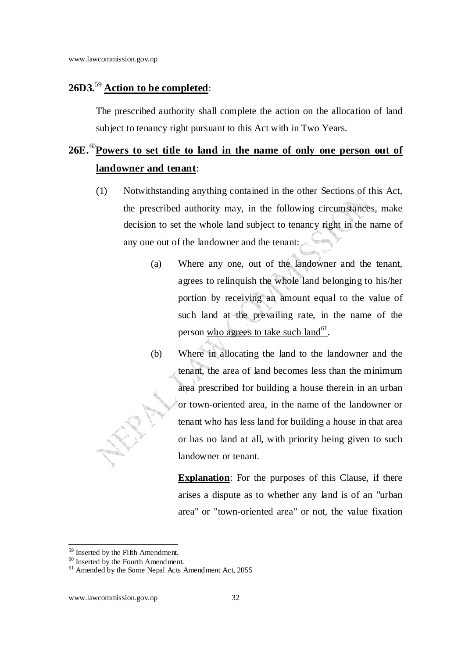### **26D3.**<sup>59</sup> **Action to be completed**:

The prescribed authority shall complete the action on the allocation of land subject to tenancy right pursuant to this Act with in Two Years.

## **26E.**<sup>60</sup>**Powers to set title to land in the name of only one person out of landowner and tenant**:

- (1) Notwithstanding anything contained in the other Sections of this Act, the prescribed authority may, in the following circumstances, make decision to set the whole land subject to tenancy right in the name of any one out of the landowner and the tenant:
	- (a) Where any one, out of the landowner and the tenant, agrees to relinquish the whole land belonging to his/her portion by receiving an amount equal to the value of such land at the prevailing rate, in the name of the person <u>who agree's to take such land<sup>61</sup></u>.
	- (b) Where in allocating the land to the landowner and the tenant, the area of land becomes less than the minimum area prescribed for building a house therein in an urban or town-oriented area, in the name of the landowner or tenant who has less land for building a house in that area or has no land at all, with priority being given to such landowner or tenant.

**Explanation**: For the purposes of this Clause, if there arises a dispute as to whether any land is of an "urban area" or "town-oriented area" or not, the value fixation

l <sup>59</sup> Inserted by the Fifth Amendment.

<sup>&</sup>lt;sup>60</sup> Inserted by the Fourth Amendment.

<sup>61</sup> Amended by the Some Nepal Acts Amendment Act, 2055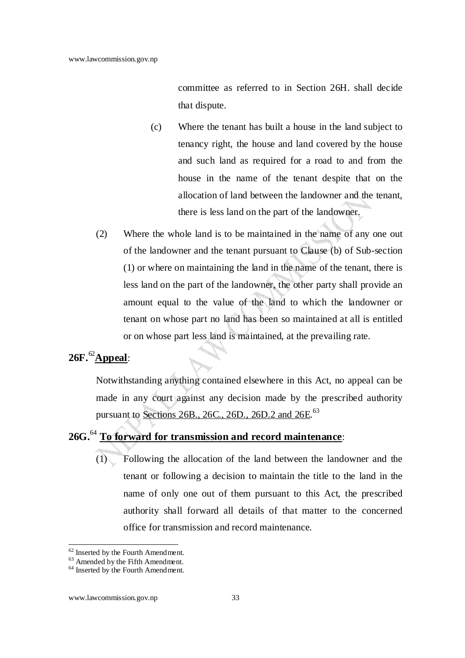committee as referred to in Section 26H. shall decide that dispute.

- (c) Where the tenant has built a house in the land subject to tenancy right, the house and land covered by the house and such land as required for a road to and from the house in the name of the tenant despite that on the allocation of land between the landowner and the tenant, there is less land on the part of the landowner.
- (2) Where the whole land is to be maintained in the name of any one out of the landowner and the tenant pursuant to Clause (b) of Sub-section (1) or where on maintaining the land in the name of the tenant, there is less land on the part of the landowner, the other party shall provide an amount equal to the value of the land to which the landowner or tenant on whose part no land has been so maintained at all is entitled or on whose part less land is maintained, at the prevailing rate.

## **26F.**<sup>62</sup>**Appeal**:

Notwithstanding anything contained elsewhere in this Act, no appeal can be made in any court against any decision made by the prescribed authority pursuant to Sections 26B., 26C., 26D., 26D.2 and 26E.<sup>63</sup>

## **26G.**<sup>64</sup> **To forward for transmission and record maintenance**:

(1) Following the allocation of the land between the landowner and the tenant or following a decision to maintain the title to the land in the name of only one out of them pursuant to this Act, the prescribed authority shall forward all details of that matter to the concerned office for transmission and record maintenance.

<sup>&</sup>lt;sup>62</sup> Inserted by the Fourth Amendment.

<sup>63</sup> Amended by the Fifth Amendment.

<sup>&</sup>lt;sup>64</sup> Inserted by the Fourth Amendment.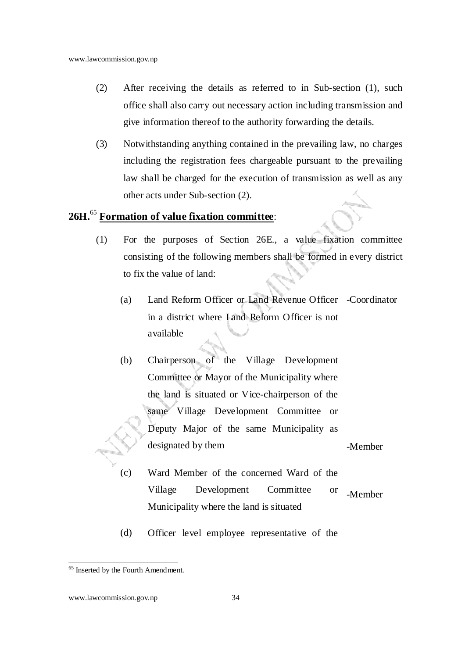- (2) After receiving the details as referred to in Sub-section (1), such office shall also carry out necessary action including transmission and give information thereof to the authority forwarding the details.
- (3) Notwithstanding anything contained in the prevailing law, no charges including the registration fees chargeable pursuant to the prevailing law shall be charged for the execution of transmission as well as any other acts under Sub-section (2).

### **26H.**<sup>65</sup> **Formation of value fixation committee**:

- (1) For the purposes of Section 26E., a value fixation committee consisting of the following members shall be formed in every district to fix the value of land:
	- (a) Land Reform Officer or Land Revenue Officer -Coordinator in a district where Land Reform Officer is not available
	- (b) Chairperson of the Village Development Committee or Mayor of the Municipality where the land is situated or Vice-chairperson of the same Village Development Committee or Deputy Major of the same Municipality as designated by them -Member
	- (c) Ward Member of the concerned Ward of the Village Development Committee or Municipality where the land is situated -Member
	- (d) Officer level employee representative of the

<sup>&</sup>lt;sup>65</sup> Inserted by the Fourth Amendment.

www.lawcommission.gov.np 34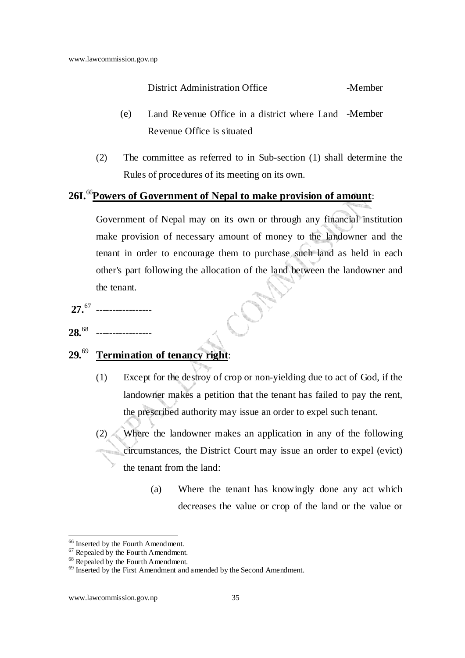### District Administration Office -Member

- (e) Land Revenue Office in a district where Land -Member Revenue Office is situated
- (2) The committee as referred to in Sub-section (1) shall determine the Rules of procedures of its meeting on its own.

## **26I.**<sup>66</sup>**Powers of Government of Nepal to make provision of amount**:

Government of Nepal may on its own or through any financial institution make provision of necessary amount of money to the landowner and the tenant in order to encourage them to purchase such land as held in each other's part following the allocation of the land between the landowner and the tenant.

**27.**<sup>67</sup> ----------------- **28.**<sup>68</sup> -----------------

## **29.**<sup>69</sup> **Termination of tenancy right**:

- (1) Except for the destroy of crop or non-yielding due to act of God, if the landowner makes a petition that the tenant has failed to pay the rent, the prescribed authority may issue an order to expel such tenant.
- (2) Where the landowner makes an application in any of the following circumstances, the District Court may issue an order to expel (evict) the tenant from the land:
	- (a) Where the tenant has knowingly done any act which decreases the value or crop of the land or the value or

<sup>&</sup>lt;sup>66</sup> Inserted by the Fourth Amendment.

 $67$  Repealed by the Fourth Amendment.

 $68$  Repealed by the Fourth Amendment.

<sup>&</sup>lt;sup>69</sup> Inserted by the First Amendment and amended by the Second Amendment.

www.lawcommission.gov.np 35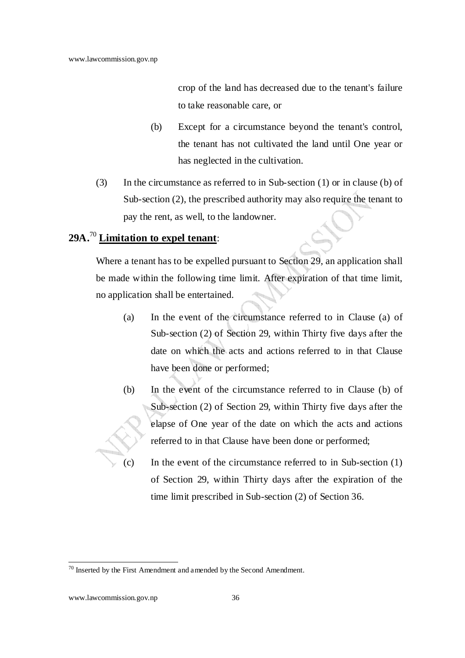crop of the land has decreased due to the tenant's failure to take reasonable care, or

- (b) Except for a circumstance beyond the tenant's control, the tenant has not cultivated the land until One year or has neglected in the cultivation.
- (3) In the circumstance as referred to in Sub-section (1) or in clause (b) of Sub-section (2), the prescribed authority may also require the tenant to pay the rent, as well, to the landowner.

## **29A.**<sup>70</sup> **Limitation to expel tenant**:

Where a tenant has to be expelled pursuant to Section 29, an application shall be made within the following time limit. After expiration of that time limit, no application shall be entertained.

- (a) In the event of the circumstance referred to in Clause (a) of Sub-section (2) of Section 29, within Thirty five days after the date on which the acts and actions referred to in that Clause have been done or performed;
- (b) In the event of the circumstance referred to in Clause (b) of Sub-section (2) of Section 29, within Thirty five days after the elapse of One year of the date on which the acts and actions referred to in that Clause have been done or performed;
- (c) In the event of the circumstance referred to in Sub-section (1) of Section 29, within Thirty days after the expiration of the time limit prescribed in Sub-section (2) of Section 36.

 $70$  Inserted by the First Amendment and amended by the Second Amendment.

www.lawcommission.gov.np 36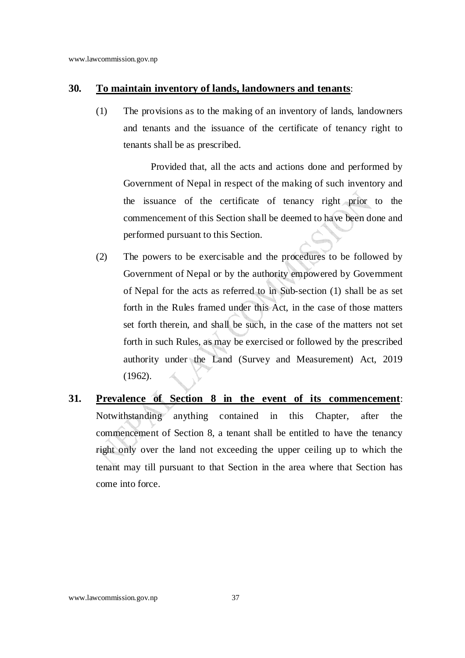#### **30. To maintain inventory of lands, landowners and tenants**:

(1) The provisions as to the making of an inventory of lands, landowners and tenants and the issuance of the certificate of tenancy right to tenants shall be as prescribed.

Provided that, all the acts and actions done and performed by Government of Nepal in respect of the making of such inventory and the issuance of the certificate of tenancy right prior to the commencement of this Section shall be deemed to have been done and performed pursuant to this Section.

- (2) The powers to be exercisable and the procedures to be followed by Government of Nepal or by the authority empowered by Government of Nepal for the acts as referred to in Sub-section (1) shall be as set forth in the Rules framed under this Act, in the case of those matters set forth therein, and shall be such, in the case of the matters not set forth in such Rules, as may be exercised or followed by the prescribed authority under the Land (Survey and Measurement) Act, 2019 (1962).
- **31. Prevalence of Section 8 in the event of its commencement**: Notwithstanding anything contained in this Chapter, after the commencement of Section 8, a tenant shall be entitled to have the tenancy right only over the land not exceeding the upper ceiling up to which the tenant may till pursuant to that Section in the area where that Section has come into force.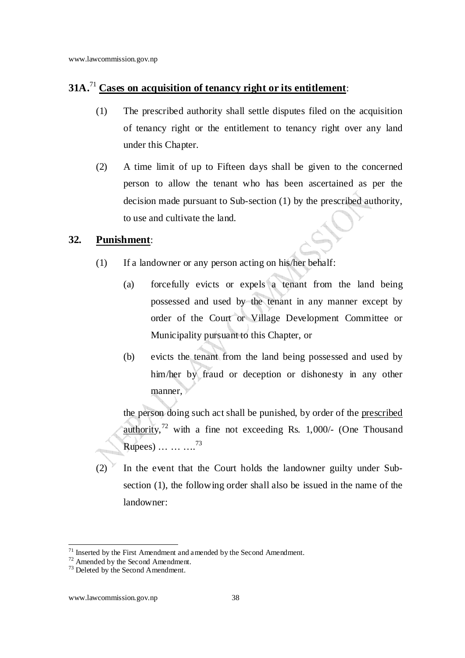## **31A.**<sup>71</sup> **Cases on acquisition of tenancy right or its entitlement**:

- (1) The prescribed authority shall settle disputes filed on the acquisition of tenancy right or the entitlement to tenancy right over any land under this Chapter.
- (2) A time limit of up to Fifteen days shall be given to the concerned person to allow the tenant who has been ascertained as per the decision made pursuant to Sub-section (1) by the prescribed authority, to use and cultivate the land.

#### **32. Punishment**:

- (1) If a landowner or any person acting on his/her behalf:
	- (a) forcefully evicts or expels a tenant from the land being possessed and used by the tenant in any manner except by order of the Court or Village Development Committee or Municipality pursuant to this Chapter, or
	- (b) evicts the tenant from the land being possessed and used by him/her by fraud or deception or dishonesty in any other manner,

the person doing such act shall be punished, by order of the prescribed authority,<sup>72</sup> with a fine not exceeding Rs. 1,000/- (One Thousand Rupees) … … … <sup>73</sup>

 $(2)$  In the event that the Court holds the landowner guilty under Subsection (1), the following order shall also be issued in the name of the landowner:

 $71$  Inserted by the First Amendment and amended by the Second Amendment.

<sup>72</sup> Amended by the Second Amendment.

<sup>&</sup>lt;sup>73</sup> Deleted by the Second Amendment.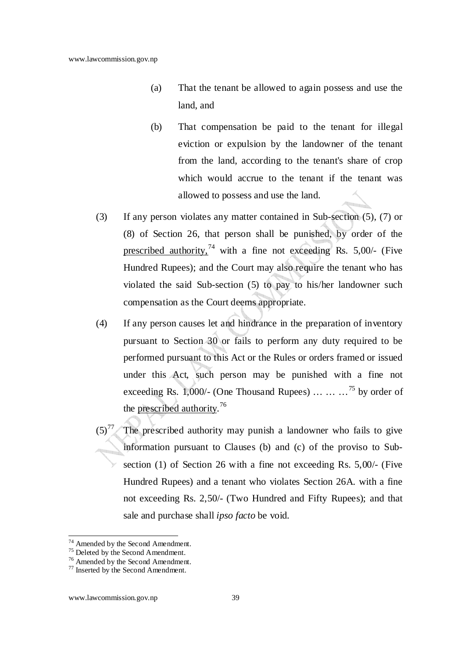- (a) That the tenant be allowed to again possess and use the land, and
- (b) That compensation be paid to the tenant for illegal eviction or expulsion by the landowner of the tenant from the land, according to the tenant's share of crop which would accrue to the tenant if the tenant was allowed to possess and use the land.
- (3) If any person violates any matter contained in Sub-section (5), (7) or (8) of Section 26, that person shall be punished, by order of the prescribed authority,  $^{74}$  with a fine not exceeding Rs. 5,00/- (Five Hundred Rupees); and the Court may also require the tenant who has violated the said Sub-section (5) to pay to his/her landowner such compensation as the Court deems appropriate.
- (4) If any person causes let and hindrance in the preparation of inventory pursuant to Section 30 or fails to perform any duty required to be performed pursuant to this Act or the Rules or orders framed or issued under this Act, such person may be punished with a fine not exceeding Rs. 1,000/- (One Thousand Rupees) ... ...  $\cdot$ <sup>75</sup> by order of the prescribed authority.<sup>76</sup>
- $(5)<sup>77</sup>$  The prescribed authority may punish a landowner who fails to give information pursuant to Clauses (b) and (c) of the proviso to Subsection (1) of Section 26 with a fine not exceeding Rs. 5,00/- (Five Hundred Rupees) and a tenant who violates Section 26A. with a fine not exceeding Rs. 2,50/- (Two Hundred and Fifty Rupees); and that sale and purchase shall *ipso facto* be void.

<sup>&</sup>lt;sup>74</sup> Amended by the Second Amendment.

 $75$  Deleted by the Second Amendment.

<sup>76</sup> Amended by the Second Amendment.

<sup>77</sup> Inserted by the Second Amendment.

www.lawcommission.gov.np 39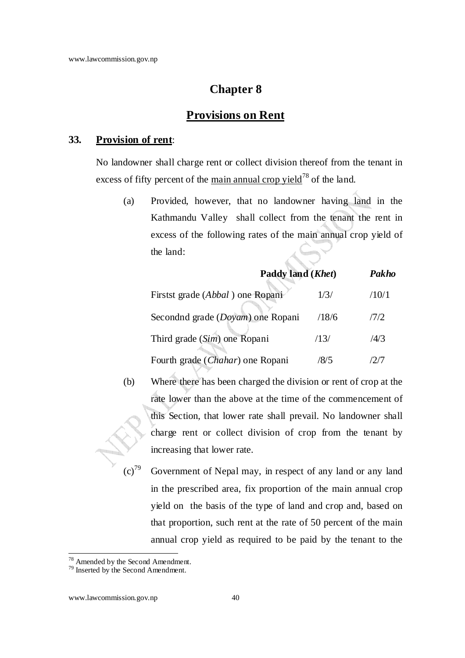### **Chapter 8**

### **Provisions on Rent**

#### **33. Provision of rent**:

No landowner shall charge rent or collect division thereof from the tenant in excess of fifty percent of the main annual crop yield<sup>78</sup> of the land.

(a) Provided, however, that no landowner having land in the Kathmandu Valley shall collect from the tenant the rent in excess of the following rates of the main annual crop yield of the land:

| Paddy land (Khet)                         |       | Pakho |
|-------------------------------------------|-------|-------|
| Firstst grade ( <i>Abbal</i> ) one Ropani | 1/3/  | /10/1 |
| Secondnd grade (Doyam) one Ropani         | /18/6 | 7/2   |
| Third grade (Sim) one Ropani              | /13/  | /4/3  |
| Fourth grade ( <i>Chahar</i> ) one Ropani | /8/5  | 12.IT |

- (b) Where there has been charged the division or rent of crop at the rate lower than the above at the time of the commencement of this Section, that lower rate shall prevail. No landowner shall charge rent or collect division of crop from the tenant by increasing that lower rate.
	- Government of Nepal may, in respect of any land or any land in the prescribed area, fix proportion of the main annual crop yield on the basis of the type of land and crop and, based on that proportion, such rent at the rate of 50 percent of the main annual crop yield as required to be paid by the tenant to the

<sup>&</sup>lt;sup>78</sup> Amended by the Second Amendment.

<sup>&</sup>lt;sup>79</sup> Inserted by the Second Amendment.

www.lawcommission.gov.np 40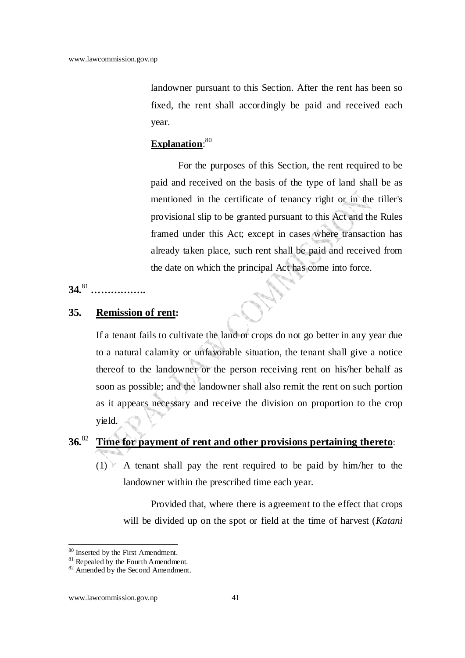landowner pursuant to this Section. After the rent has been so fixed, the rent shall accordingly be paid and received each year.

### **Explanation**: 80

For the purposes of this Section, the rent required to be paid and received on the basis of the type of land shall be as mentioned in the certificate of tenancy right or in the tiller's provisional slip to be granted pursuant to this Act and the Rules framed under this Act; except in cases where transaction has already taken place, such rent shall be paid and received from the date on which the principal Act has come into force.

#### **34.**<sup>81</sup>  **……………..**

### **35. Remission of rent:**

If a tenant fails to cultivate the land or crops do not go better in any year due to a natural calamity or unfavorable situation, the tenant shall give a notice thereof to the landowner or the person receiving rent on his/her behalf as soon as possible; and the landowner shall also remit the rent on such portion as it appears necessary and receive the division on proportion to the crop yield.

## **36.**<sup>82</sup> **Time for payment of rent and other provisions pertaining thereto**:

 $(1)$  A tenant shall pay the rent required to be paid by him/her to the landowner within the prescribed time each year.

Provided that, where there is agreement to the effect that crops will be divided up on the spot or field at the time of harvest (*Katani* 

<sup>&</sup>lt;sup>80</sup> Inserted by the First Amendment.

<sup>&</sup>lt;sup>81</sup> Repealed by the Fourth Amendment.

<sup>&</sup>lt;sup>82</sup> Amended by the Second Amendment.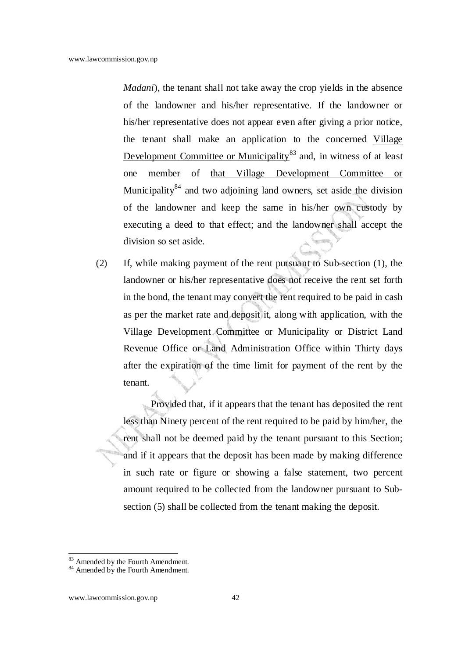*Madani*), the tenant shall not take away the crop yields in the absence of the landowner and his/her representative. If the landowner or his/her representative does not appear even after giving a prior notice, the tenant shall make an application to the concerned Village Development Committee or Municipality<sup>83</sup> and, in witness of at least one member of that Village Development Committee or Municipality<sup>84</sup> and two adjoining land owners, set aside the division of the landowner and keep the same in his/her own custody by executing a deed to that effect; and the landowner shall accept the division so set aside.

(2) If, while making payment of the rent pursuant to Sub-section (1), the landowner or his/her representative does not receive the rent set forth in the bond, the tenant may convert the rent required to be paid in cash as per the market rate and deposit it, along with application, with the Village Development Committee or Municipality or District Land Revenue Office or Land Administration Office within Thirty days after the expiration of the time limit for payment of the rent by the tenant.

Provided that, if it appears that the tenant has deposited the rent less than Ninety percent of the rent required to be paid by him/her, the rent shall not be deemed paid by the tenant pursuant to this Section; and if it appears that the deposit has been made by making difference in such rate or figure or showing a false statement, two percent amount required to be collected from the landowner pursuant to Subsection (5) shall be collected from the tenant making the deposit.

<sup>&</sup>lt;sup>83</sup> Amended by the Fourth Amendment.

<sup>&</sup>lt;sup>84</sup> Amended by the Fourth Amendment.

www.lawcommission.gov.np 42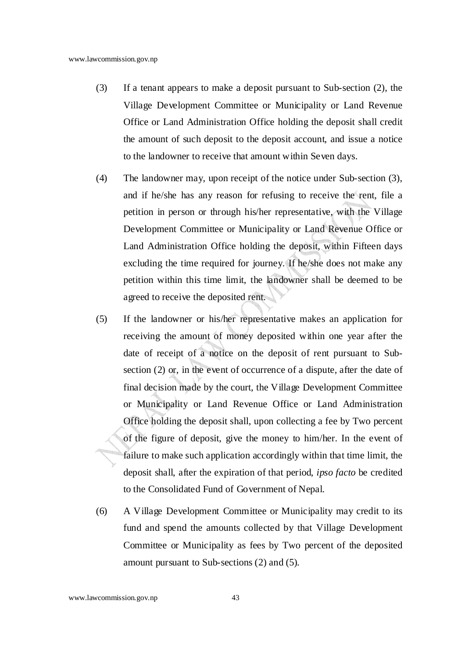- (3) If a tenant appears to make a deposit pursuant to Sub-section (2), the Village Development Committee or Municipality or Land Revenue Office or Land Administration Office holding the deposit shall credit the amount of such deposit to the deposit account, and issue a notice to the landowner to receive that amount within Seven days.
- (4) The landowner may, upon receipt of the notice under Sub-section (3), and if he/she has any reason for refusing to receive the rent, file a petition in person or through his/her representative, with the Village Development Committee or Municipality or Land Revenue Office or Land Administration Office holding the deposit, within Fifteen days excluding the time required for journey. If he/she does not make any petition within this time limit, the landowner shall be deemed to be agreed to receive the deposited rent.
- (5) If the landowner or his/her representative makes an application for receiving the amount of money deposited within one year after the date of receipt of a notice on the deposit of rent pursuant to Subsection (2) or, in the event of occurrence of a dispute, after the date of final decision made by the court, the Village Development Committee or Municipality or Land Revenue Office or Land Administration Office holding the deposit shall, upon collecting a fee by Two percent of the figure of deposit, give the money to him/her. In the event of failure to make such application accordingly within that time limit, the deposit shall, after the expiration of that period, *ipso facto* be credited to the Consolidated Fund of Government of Nepal.
- (6) A Village Development Committee or Municipality may credit to its fund and spend the amounts collected by that Village Development Committee or Municipality as fees by Two percent of the deposited amount pursuant to Sub-sections (2) and (5).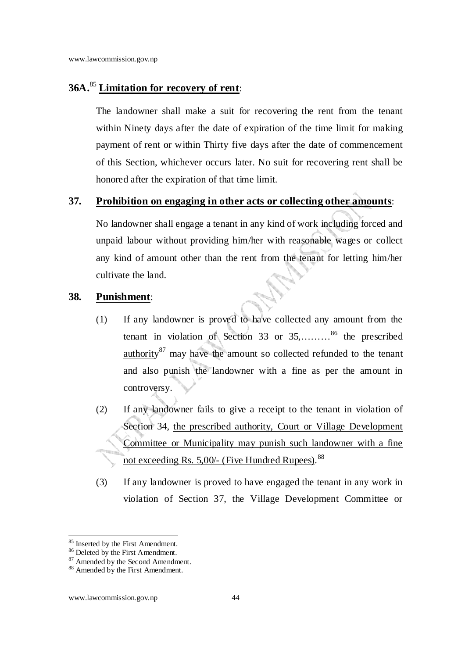### **36A.**<sup>85</sup> **Limitation for recovery of rent**:

The landowner shall make a suit for recovering the rent from the tenant within Ninety days after the date of expiration of the time limit for making payment of rent or within Thirty five days after the date of commencement of this Section, whichever occurs later. No suit for recovering rent shall be honored after the expiration of that time limit.

### **37. Prohibition on engaging in other acts or collecting other amounts**:

No landowner shall engage a tenant in any kind of work including forced and unpaid labour without providing him/her with reasonable wages or collect any kind of amount other than the rent from the tenant for letting him/her cultivate the land.

### **38. Punishment**:

- (1) If any landowner is proved to have collected any amount from the tenant in violation of Section 33 or 35,………<sup>86</sup> the prescribed authority<sup>87</sup> may have the amount so collected refunded to the tenant and also punish the landowner with a fine as per the amount in controversy.
- (2) If any landowner fails to give a receipt to the tenant in violation of Section 34, the prescribed authority, Court or Village Development Committee or Municipality may punish such landowner with a fine not exceeding Rs. 5,00/- (Five Hundred Rupees).<sup>88</sup>
- (3) If any landowner is proved to have engaged the tenant in any work in violation of Section 37, the Village Development Committee or

<sup>&</sup>lt;sup>85</sup> Inserted by the First Amendment.

<sup>86</sup> Deleted by the First Amendment.

<sup>87</sup> Amended by the Second Amendment.

<sup>88</sup> Amended by the First Amendment.

www.lawcommission.gov.np 44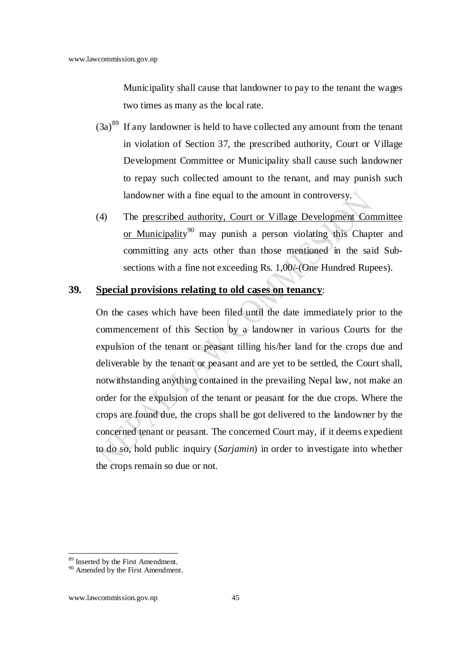Municipality shall cause that landowner to pay to the tenant the wages two times as many as the local rate.

- $(3a)^{89}$  If any landowner is held to have collected any amount from the tenant in violation of Section 37, the prescribed authority, Court or Village Development Committee or Municipality shall cause such landowner to repay such collected amount to the tenant, and may punish such landowner with a fine equal to the amount in controversy.
- (4) The prescribed authority, Court or Village Development Committee or Municipality<sup>90</sup> may punish a person violating this Chapter and committing any acts other than those mentioned in the said Subsections with a fine not exceeding Rs. 1,00/-(One Hundred Rupees).

### **39. Special provisions relating to old cases on tenancy**:

On the cases which have been filed until the date immediately prior to the commencement of this Section by a landowner in various Courts for the expulsion of the tenant or peasant tilling his/her land for the crops due and deliverable by the tenant or peasant and are yet to be settled, the Court shall, notwithstanding anything contained in the prevailing Nepal law, not make an order for the expulsion of the tenant or peasant for the due crops. Where the crops are found due, the crops shall be got delivered to the landowner by the concerned tenant or peasant. The concerned Court may, if it deems expedient to do so, hold public inquiry (*Sarjamin*) in order to investigate into whether the crops remain so due or not.

<sup>&</sup>lt;sup>89</sup> Inserted by the First Amendment.

<sup>&</sup>lt;sup>90</sup> Amended by the First Amendment.

www.lawcommission.gov.np 45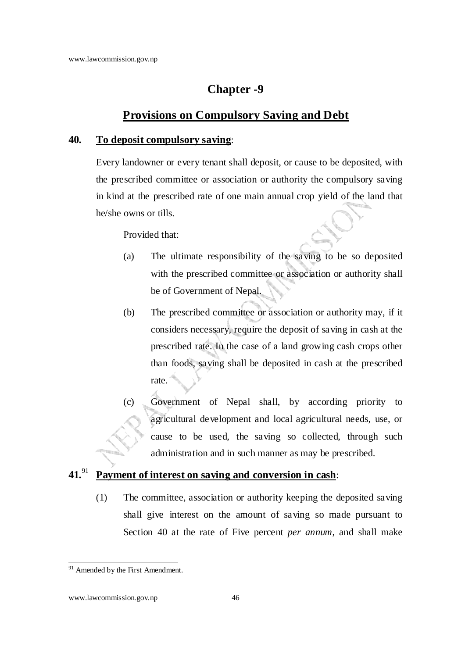### **Chapter -9**

### **Provisions on Compulsory Saving and Debt**

#### **40. To deposit compulsory saving**:

Every landowner or every tenant shall deposit, or cause to be deposited, with the prescribed committee or association or authority the compulsory saving in kind at the prescribed rate of one main annual crop yield of the land that he/she owns or tills.

Provided that:

- (a) The ultimate responsibility of the saving to be so deposited with the prescribed committee or association or authority shall be of Government of Nepal.
- (b) The prescribed committee or association or authority may, if it considers necessary, require the deposit of saving in cash at the prescribed rate. In the case of a land growing cash crops other than foods, saving shall be deposited in cash at the prescribed rate.
- (c) Government of Nepal shall, by according priority to agricultural development and local agricultural needs, use, or cause to be used, the saving so collected, through such administration and in such manner as may be prescribed.

## **41.**<sup>91</sup> **Payment of interest on saving and conversion in cash**:

(1) The committee, association or authority keeping the deposited saving shall give interest on the amount of saving so made pursuant to Section 40 at the rate of Five percent *per annum*, and shall make

<sup>&</sup>lt;sup>91</sup> Amended by the First Amendment.

www.lawcommission.gov.np 46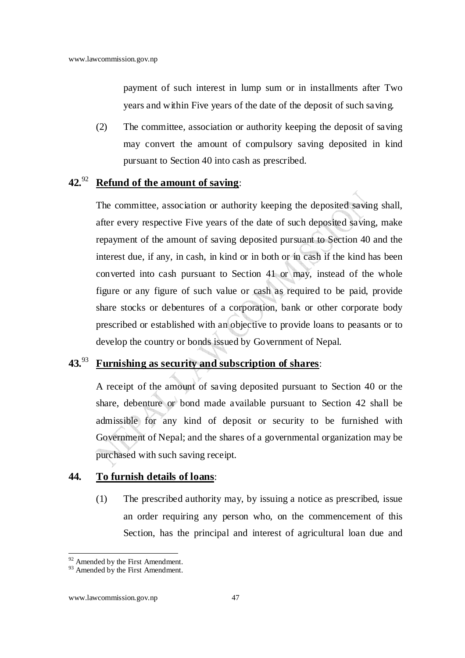payment of such interest in lump sum or in installments after Two years and within Five years of the date of the deposit of such saving.

(2) The committee, association or authority keeping the deposit of saving may convert the amount of compulsory saving deposited in kind pursuant to Section 40 into cash as prescribed.

## **42.**<sup>92</sup> **Refund of the amount of saving**:

The committee, association or authority keeping the deposited saving shall, after every respective Five years of the date of such deposited saving, make repayment of the amount of saving deposited pursuant to Section 40 and the interest due, if any, in cash, in kind or in both or in cash if the kind has been converted into cash pursuant to Section 41 or may, instead of the whole figure or any figure of such value or cash as required to be paid, provide share stocks or debentures of a corporation, bank or other corporate body prescribed or established with an objective to provide loans to peasants or to develop the country or bonds issued by Government of Nepal.

### **43.**<sup>93</sup> **Furnishing as security and subscription of shares**:

A receipt of the amount of saving deposited pursuant to Section 40 or the share, debenture or bond made available pursuant to Section 42 shall be admissible for any kind of deposit or security to be furnished with Government of Nepal; and the shares of a governmental organization may be purchased with such saving receipt.

### **44. To furnish details of loans**:

(1) The prescribed authority may, by issuing a notice as prescribed, issue an order requiring any person who, on the commencement of this Section, has the principal and interest of agricultural loan due and

 $92$  Amended by the First Amendment.

<sup>&</sup>lt;sup>93</sup> Amended by the First Amendment.

www.lawcommission.gov.np 47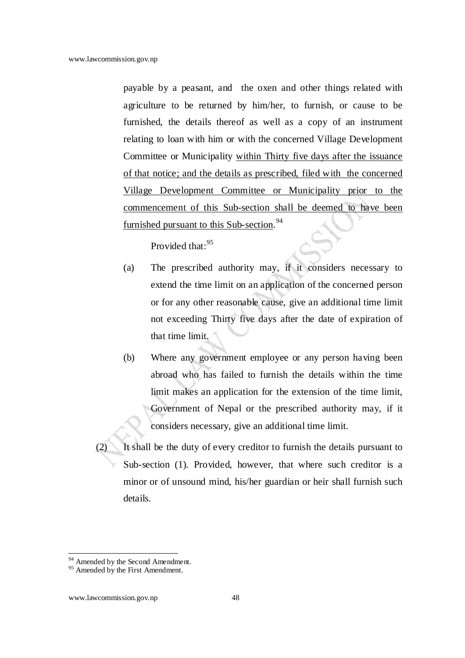payable by a peasant, and the oxen and other things related with agriculture to be returned by him/her, to furnish, or cause to be furnished, the details thereof as well as a copy of an instrument relating to loan with him or with the concerned Village Development Committee or Municipality within Thirty five days after the issuance of that notice; and the details as prescribed, filed with the concerned Village Development Committee or Municipality prior to the commencement of this Sub-section shall be deemed to have been furnished pursuant to this Sub-section.<sup>94</sup>

Provided that:<sup>95</sup>

- (a) The prescribed authority may, if it considers necessary to extend the time limit on an application of the concerned person or for any other reasonable cause, give an additional time limit not exceeding Thirty five days after the date of expiration of that time limit.
- (b) Where any government employee or any person having been abroad who has failed to furnish the details within the time limit makes an application for the extension of the time limit, Government of Nepal or the prescribed authority may, if it considers necessary, give an additional time limit.
- (2) It shall be the duty of every creditor to furnish the details pursuant to Sub-section (1). Provided, however, that where such creditor is a minor or of unsound mind, his/her guardian or heir shall furnish such details.

<sup>&</sup>lt;sup>94</sup> Amended by the Second Amendment.

<sup>&</sup>lt;sup>95</sup> Amended by the First Amendment.

www.lawcommission.gov.np 48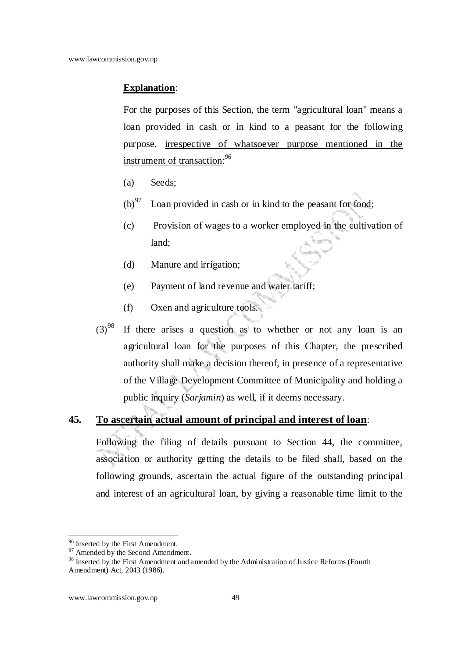### **Explanation**:

For the purposes of this Section, the term "agricultural loan" means a loan provided in cash or in kind to a peasant for the following purpose, irrespective of whatsoever purpose mentioned in the instrument of transaction:<sup>96</sup>

- (a) Seeds;
- $(b)$ <sup>97</sup> Loan provided in cash or in kind to the peasant for food;
- (c) Provision of wages to a worker employed in the cultivation of land;
- (d) Manure and irrigation;
- (e) Payment of land revenue and water tariff;
- (f) Oxen and agriculture tools.
- $(3)^{98}$  If there arises a question as to whether or not any loan is an agricultural loan for the purposes of this Chapter, the prescribed authority shall make a decision thereof, in presence of a representative of the Village Development Committee of Municipality and holding a public inquiry (*Sarjamin*) as well, if it deems necessary.

### **45. To ascertain actual amount of principal and interest of loan**:

Following the filing of details pursuant to Section 44, the committee, association or authority getting the details to be filed shall, based on the following grounds, ascertain the actual figure of the outstanding principal and interest of an agricultural loan, by giving a reasonable time limit to the

<sup>&</sup>lt;sup>96</sup> Inserted by the First Amendment.

 $97$  Amended by the Second Amendment.

<sup>&</sup>lt;sup>98</sup> Inserted by the First Amendment and amended by the Administration of Justice Reforms (Fourth Amendment) Act, 2043 (1986).

www.lawcommission.gov.np 49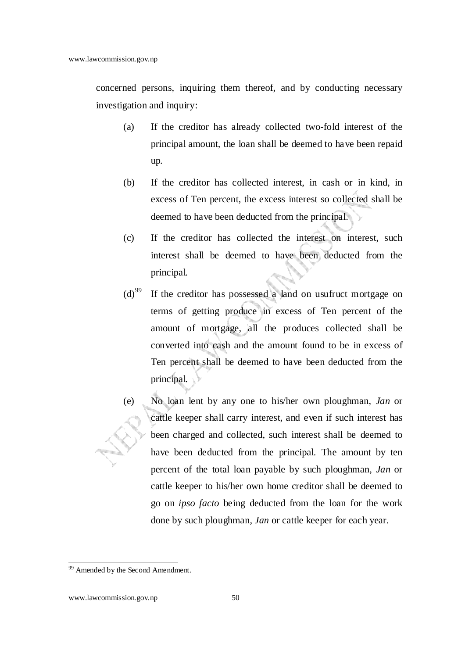concerned persons, inquiring them thereof, and by conducting necessary investigation and inquiry:

- (a) If the creditor has already collected two-fold interest of the principal amount, the loan shall be deemed to have been repaid up.
- (b) If the creditor has collected interest, in cash or in kind, in excess of Ten percent, the excess interest so collected shall be deemed to have been deducted from the principal.
- (c) If the creditor has collected the interest on interest, such interest shall be deemed to have been deducted from the principal.
- $(d)$ <sup>99</sup> If the creditor has possessed a land on usufruct mortgage on terms of getting produce in excess of Ten percent of the amount of mortgage, all the produces collected shall be converted into cash and the amount found to be in excess of Ten percent shall be deemed to have been deducted from the principal.
- (e) No loan lent by any one to his/her own ploughman, *Jan* or cattle keeper shall carry interest, and even if such interest has been charged and collected, such interest shall be deemed to have been deducted from the principal. The amount by ten percent of the total loan payable by such ploughman, *Jan* or cattle keeper to his/her own home creditor shall be deemed to go on *ipso facto* being deducted from the loan for the work done by such ploughman, *Jan* or cattle keeper for each year.

<sup>&</sup>lt;sup>99</sup> Amended by the Second Amendment.

www.lawcommission.gov.np 50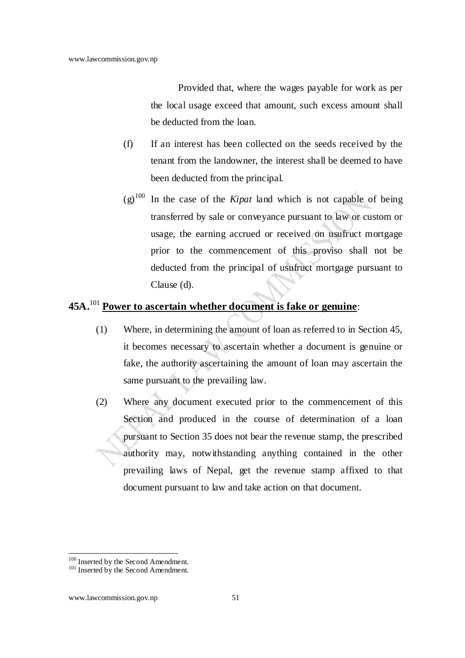Provided that, where the wages payable for work as per the local usage exceed that amount, such excess amount shall be deducted from the loan.

- (f) If an interest has been collected on the seeds received by the tenant from the landowner, the interest shall be deemed to have been deducted from the principal.
- $(g)$ <sup>100</sup> In the case of the *Kipat* land which is not capable of being transferred by sale or conveyance pursuant to law or custom or usage, the earning accrued or received on usufruct mortgage prior to the commencement of this proviso shall not be deducted from the principal of usufruct mortgage pursuant to Clause (d).

### **45A.**<sup>101</sup> **Power to ascertain whether document is fake or genuine**:

- (1) Where, in determining the amount of loan as referred to in Section 45, it becomes necessary to ascertain whether a document is genuine or fake, the authority ascertaining the amount of loan may ascertain the same pursuant to the prevailing law.
- (2) Where any document executed prior to the commencement of this Section and produced in the course of determination of a loan pursuant to Section 35 does not bear the revenue stamp, the prescribed authority may, notwithstanding anything contained in the other prevailing laws of Nepal, get the revenue stamp affixed to that document pursuant to law and take action on that document.

<sup>&</sup>lt;sup>100</sup> Inserted by the Second Amendment.

<sup>&</sup>lt;sup>101</sup> Inserted by the Second Amendment.

www.lawcommission.gov.np 51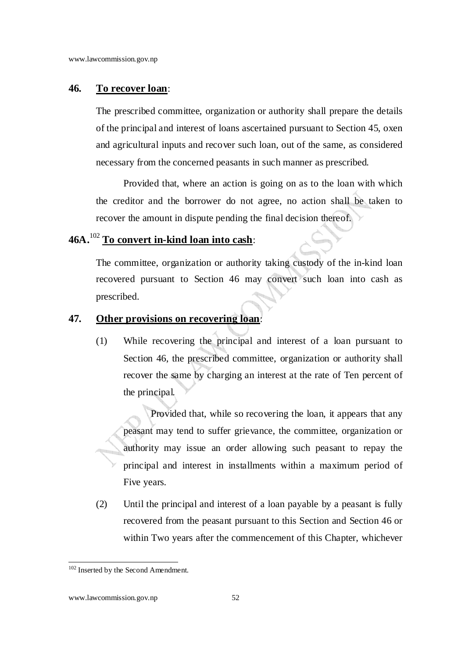#### **46. To recover loan**:

The prescribed committee, organization or authority shall prepare the details of the principal and interest of loans ascertained pursuant to Section 45, oxen and agricultural inputs and recover such loan, out of the same, as considered necessary from the concerned peasants in such manner as prescribed.

Provided that, where an action is going on as to the loan with which the creditor and the borrower do not agree, no action shall be taken to recover the amount in dispute pending the final decision thereof.

### **46A.**<sup>102</sup> **To convert in-kind loan into cash**:

The committee, organization or authority taking custody of the in-kind loan recovered pursuant to Section 46 may convert such loan into cash as prescribed.

#### **47. Other provisions on recovering loan**:

(1) While recovering the principal and interest of a loan pursuant to Section 46, the prescribed committee, organization or authority shall recover the same by charging an interest at the rate of Ten percent of the principal.

Provided that, while so recovering the loan, it appears that any peasant may tend to suffer grievance, the committee, organization or authority may issue an order allowing such peasant to repay the principal and interest in installments within a maximum period of Five years.

(2) Until the principal and interest of a loan payable by a peasant is fully recovered from the peasant pursuant to this Section and Section 46 or within Two years after the commencement of this Chapter, whichever

<sup>&</sup>lt;sup>102</sup> Inserted by the Second Amendment.

www.lawcommission.gov.np 52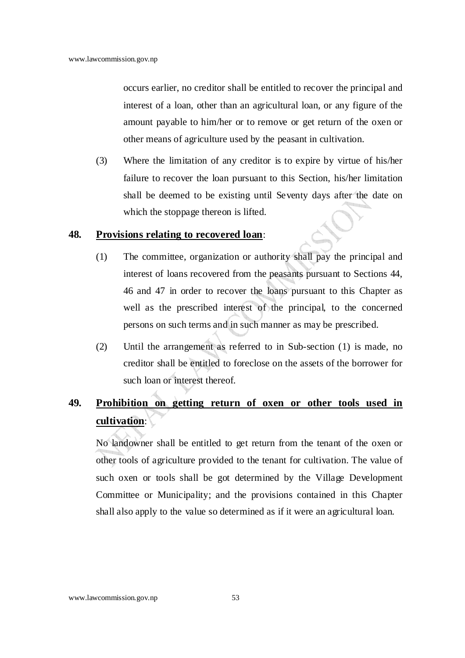occurs earlier, no creditor shall be entitled to recover the principal and interest of a loan, other than an agricultural loan, or any figure of the amount payable to him/her or to remove or get return of the oxen or other means of agriculture used by the peasant in cultivation.

(3) Where the limitation of any creditor is to expire by virtue of his/her failure to recover the loan pursuant to this Section, his/her limitation shall be deemed to be existing until Seventy days after the date on which the stoppage thereon is lifted.

#### **48. Provisions relating to recovered loan**:

- (1) The committee, organization or authority shall pay the principal and interest of loans recovered from the peasants pursuant to Sections 44, 46 and 47 in order to recover the loans pursuant to this Chapter as well as the prescribed interest of the principal, to the concerned persons on such terms and in such manner as may be prescribed.
- (2) Until the arrangement as referred to in Sub-section (1) is made, no creditor shall be entitled to foreclose on the assets of the borrower for such loan or interest thereof.

## **49. Prohibition on getting return of oxen or other tools used in cultivation**:

No landowner shall be entitled to get return from the tenant of the oxen or other tools of agriculture provided to the tenant for cultivation. The value of such oxen or tools shall be got determined by the Village Development Committee or Municipality; and the provisions contained in this Chapter shall also apply to the value so determined as if it were an agricultural loan.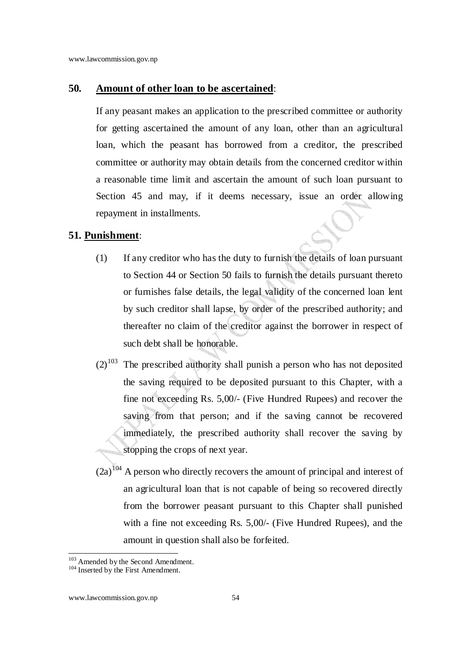#### **50. Amount of other loan to be ascertained**:

If any peasant makes an application to the prescribed committee or authority for getting ascertained the amount of any loan, other than an agricultural loan, which the peasant has borrowed from a creditor, the prescribed committee or authority may obtain details from the concerned creditor within a reasonable time limit and ascertain the amount of such loan pursuant to Section 45 and may, if it deems necessary, issue an order allowing repayment in installments.

### **51. Punishment**:

- (1) If any creditor who has the duty to furnish the details of loan pursuant to Section 44 or Section 50 fails to furnish the details pursuant thereto or furnishes false details, the legal validity of the concerned loan lent by such creditor shall lapse, by order of the prescribed authority; and thereafter no claim of the creditor against the borrower in respect of such debt shall be honorable.
- $(2)^{103}$  The prescribed authority shall punish a person who has not deposited the saving required to be deposited pursuant to this Chapter, with a fine not exceeding Rs. 5,00/- (Five Hundred Rupees) and recover the saving from that person; and if the saving cannot be recovered immediately, the prescribed authority shall recover the saving by stopping the crops of next year.
- $(2a)^{104}$  A person who directly recovers the amount of principal and interest of an agricultural loan that is not capable of being so recovered directly from the borrower peasant pursuant to this Chapter shall punished with a fine not exceeding Rs. 5,00/- (Five Hundred Rupees), and the amount in question shall also be forfeited.

<sup>&</sup>lt;sup>103</sup> Amended by the Second Amendment.

<sup>&</sup>lt;sup>104</sup> Inserted by the First Amendment.

www.lawcommission.gov.np 54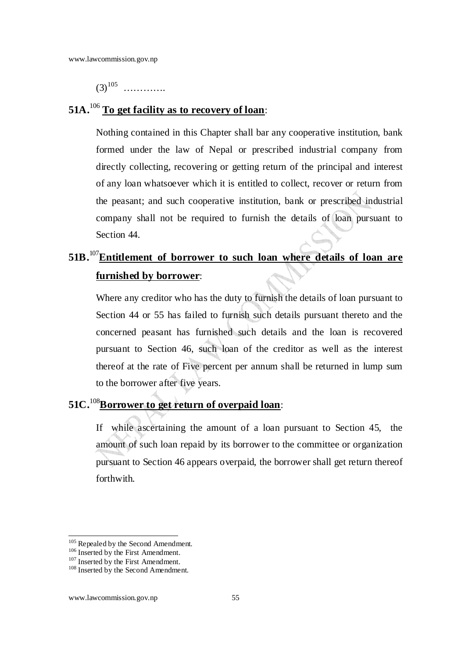$(3)^{105}$  ............

### **51A.**<sup>106</sup> **To get facility as to recovery of loan**:

Nothing contained in this Chapter shall bar any cooperative institution, bank formed under the law of Nepal or prescribed industrial company from directly collecting, recovering or getting return of the principal and interest of any loan whatsoever which it is entitled to collect, recover or return from the peasant; and such cooperative institution, bank or prescribed industrial company shall not be required to furnish the details of loan pursuant to Section 44.

# **51B.**<sup>107</sup>**Entitlement of borrower to such loan where details of loan are furnished by borrower**:

Where any creditor who has the duty to furnish the details of loan pursuant to Section 44 or 55 has failed to furnish such details pursuant thereto and the concerned peasant has furnished such details and the loan is recovered pursuant to Section 46, such loan of the creditor as well as the interest thereof at the rate of Five percent per annum shall be returned in lump sum to the borrower after five years.

## **51C.**<sup>108</sup>**Borrower to get return of overpaid loan**:

If while ascertaining the amount of a loan pursuant to Section 45, the amount of such loan repaid by its borrower to the committee or organization pursuant to Section 46 appears overpaid, the borrower shall get return thereof forthwith.

<sup>&</sup>lt;sup>105</sup> Repealed by the Second Amendment.

 $106$  Inserted by the First Amendment.

<sup>&</sup>lt;sup>107</sup> Inserted by the First Amendment.

<sup>108</sup> Inserted by the Second Amendment.

www.lawcommission.gov.np 55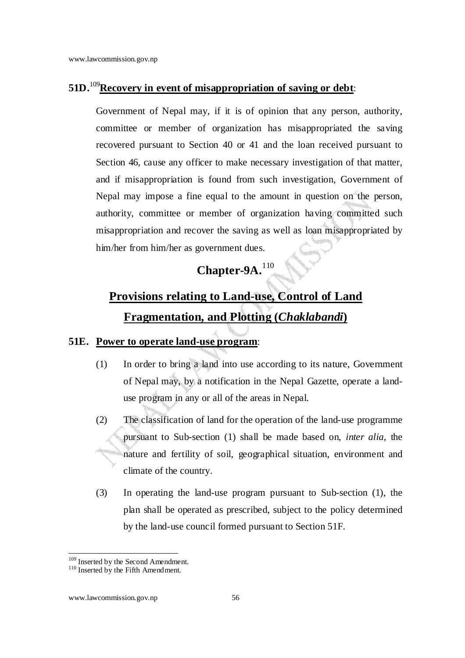## **51D.**<sup>109</sup>**Recovery in event of misappropriation of saving or debt**:

Government of Nepal may, if it is of opinion that any person, authority, committee or member of organization has misappropriated the saving recovered pursuant to Section 40 or 41 and the loan received pursuant to Section 46, cause any officer to make necessary investigation of that matter, and if misappropriation is found from such investigation, Government of Nepal may impose a fine equal to the amount in question on the person, authority, committee or member of organization having committed such misappropriation and recover the saving as well as loan misappropriated by him/her from him/her as government dues.

# **Chapter-9A.**<sup>110</sup>

# **Provisions relating to Land-use, Control of Land Fragmentation, and Plotting (***Chaklabandi***)**

### **51E. Power to operate land-use program**:

- (1) In order to bring a land into use according to its nature, Government of Nepal may, by a notification in the Nepal Gazette, operate a landuse program in any or all of the areas in Nepal.
- (2) The classification of land for the operation of the land-use programme pursuant to Sub-section (1) shall be made based on, *inter alia*, the nature and fertility of soil, geographical situation, environment and climate of the country.
- (3) In operating the land-use program pursuant to Sub-section (1), the plan shall be operated as prescribed, subject to the policy determined by the land-use council formed pursuant to Section 51F.

<sup>&</sup>lt;sup>109</sup> Inserted by the Second Amendment.

<sup>&</sup>lt;sup>110</sup> Inserted by the Fifth Amendment.

www.lawcommission.gov.np 56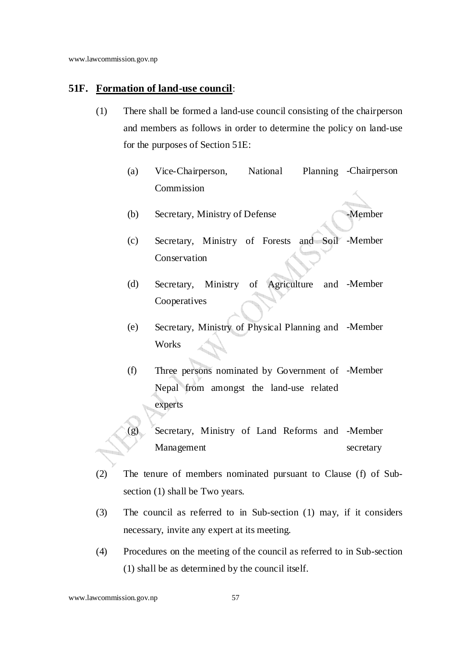#### **51F. Formation of land-use council**:

- (1) There shall be formed a land-use council consisting of the chairperson and members as follows in order to determine the policy on land-use for the purposes of Section 51E:
	- (a) Vice-Chairperson, National Commission Planning - Chairperson
	- (b) Secretary, Ministry of Defense -Member
	- (c) Secretary, Ministry of Forests and Soil -Member Conservation
	- (d) Secretary, Ministry of Agriculture Cooperatives -Member
	- (e) Secretary, Ministry of Physical Planning and -Member **Works**
	- (f) Three persons nominated by Government of -Member Nepal from amongst the land-use related experts
	- (g) Secretary, Ministry of Land Reforms and -Member Management secretary
- (2) The tenure of members nominated pursuant to Clause (f) of Subsection (1) shall be Two years.
- (3) The council as referred to in Sub-section (1) may, if it considers necessary, invite any expert at its meeting.
- (4) Procedures on the meeting of the council as referred to in Sub-section (1) shall be as determined by the council itself.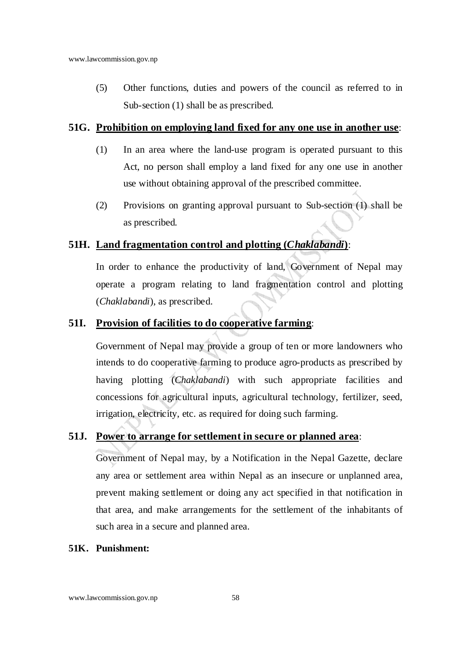(5) Other functions, duties and powers of the council as referred to in Sub-section (1) shall be as prescribed.

#### **51G. Prohibition on employing land fixed for any one use in another use**:

- (1) In an area where the land-use program is operated pursuant to this Act, no person shall employ a land fixed for any one use in another use without obtaining approval of the prescribed committee.
- (2) Provisions on granting approval pursuant to Sub-section (1) shall be as prescribed.

### **51H. Land fragmentation control and plotting (***Chaklabandi***)**:

In order to enhance the productivity of land, Government of Nepal may operate a program relating to land fragmentation control and plotting (*Chaklabandi*), as prescribed.

### **51I. Provision of facilities to do cooperative farming**:

Government of Nepal may provide a group of ten or more landowners who intends to do cooperative farming to produce agro-products as prescribed by having plotting (*Chaklabandi*) with such appropriate facilities and concessions for agricultural inputs, agricultural technology, fertilizer, seed, irrigation, electricity, etc. as required for doing such farming.

### **51J. Power to arrange for settlement in secure or planned area**:

Government of Nepal may, by a Notification in the Nepal Gazette, declare any area or settlement area within Nepal as an insecure or unplanned area, prevent making settlement or doing any act specified in that notification in that area, and make arrangements for the settlement of the inhabitants of such area in a secure and planned area.

### **51K. Punishment:**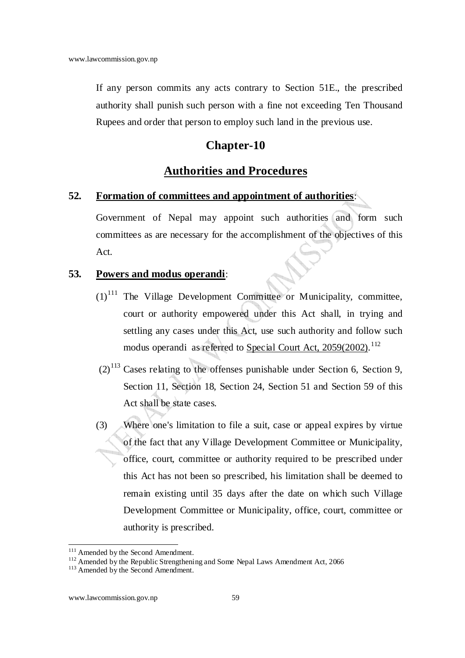If any person commits any acts contrary to Section 51E., the prescribed authority shall punish such person with a fine not exceeding Ten Thousand Rupees and order that person to employ such land in the previous use.

### **Chapter-10**

### **Authorities and Procedures**

#### **52. Formation of committees and appointment of authorities**:

Government of Nepal may appoint such authorities and form such committees as are necessary for the accomplishment of the objectives of this Act.

#### **53. Powers and modus operandi**:

- $(1)$ <sup>111</sup> The Village Development Committee or Municipality, committee, court or authority empowered under this Act shall, in trying and settling any cases under this Act, use such authority and follow such modus operandi as referred to Special Court Act, 2059(2002).<sup>112</sup>
- $(2)^{113}$  Cases relating to the offenses punishable under Section 6, Section 9, Section 11, Section 18, Section 24, Section 51 and Section 59 of this Act shall be state cases.
- (3) Where one's limitation to file a suit, case or appeal expires by virtue of the fact that any Village Development Committee or Municipality, office, court, committee or authority required to be prescribed under this Act has not been so prescribed, his limitation shall be deemed to remain existing until 35 days after the date on which such Village Development Committee or Municipality, office, court, committee or authority is prescribed.

l <sup>111</sup> Amended by the Second Amendment.

<sup>&</sup>lt;sup>112</sup> Amended by the Republic Strengthening and Some Nepal Laws Amendment Act, 2066

<sup>&</sup>lt;sup>113</sup> Amended by the Second Amendment.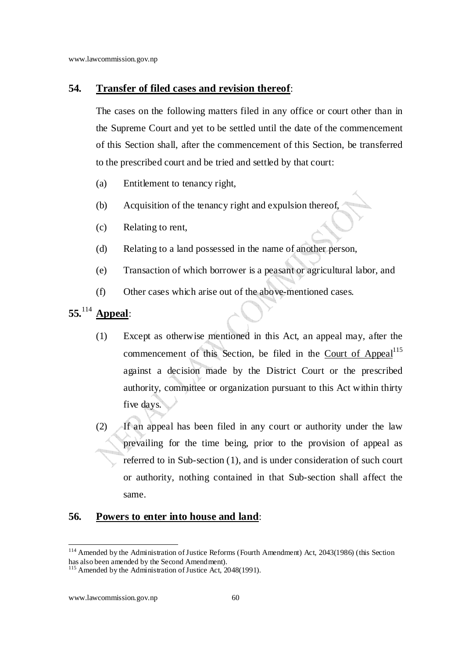### **54. Transfer of filed cases and revision thereof**:

The cases on the following matters filed in any office or court other than in the Supreme Court and yet to be settled until the date of the commencement of this Section shall, after the commencement of this Section, be transferred to the prescribed court and be tried and settled by that court:

- (a) Entitlement to tenancy right,
- (b) Acquisition of the tenancy right and expulsion thereof,
- (c) Relating to rent,
- (d) Relating to a land possessed in the name of another person,
- (e) Transaction of which borrower is a peasant or agricultural labor, and
- (f) Other cases which arise out of the above-mentioned cases.

## **55.**<sup>114</sup> **Appeal**:

- (1) Except as otherwise mentioned in this Act, an appeal may, after the commencement of this Section, be filed in the Court of Appeal<sup>115</sup> against a decision made by the District Court or the prescribed authority, committee or organization pursuant to this Act within thirty five days.
- (2) If an appeal has been filed in any court or authority under the law prevailing for the time being, prior to the provision of appeal as referred to in Sub-section (1), and is under consideration of such court or authority, nothing contained in that Sub-section shall affect the same.

### **56. Powers to enter into house and land**:

l <sup>114</sup> Amended by the Administration of Justice Reforms (Fourth Amendment) Act, 2043(1986) (this Section has also been amended by the Second Amendment).

<sup>&</sup>lt;sup>115</sup> Amended by the Administration of Justice Act, 2048(1991).

www.lawcommission.gov.np 60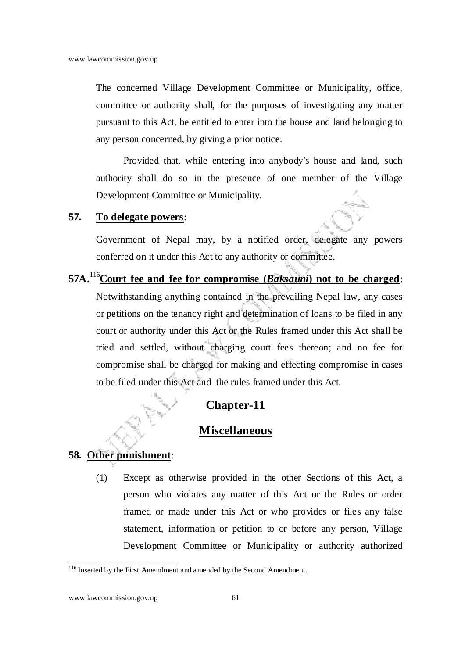The concerned Village Development Committee or Municipality, office, committee or authority shall, for the purposes of investigating any matter pursuant to this Act, be entitled to enter into the house and land belonging to any person concerned, by giving a prior notice.

Provided that, while entering into anybody's house and land, such authority shall do so in the presence of one member of the Village Development Committee or Municipality.

#### **57. To delegate powers**:

Government of Nepal may, by a notified order, delegate any powers conferred on it under this Act to any authority or committee.

**57A.**<sup>116</sup>**Court fee and fee for compromise (***Baksauni***) not to be charged**: Notwithstanding anything contained in the prevailing Nepal law, any cases or petitions on the tenancy right and determination of loans to be filed in any court or authority under this Act or the Rules framed under this Act shall be tried and settled, without charging court fees thereon; and no fee for compromise shall be charged for making and effecting compromise in cases to be filed under this Act and the rules framed under this Act.

### **Chapter-11**

### **Miscellaneous**

#### **58. Other punishment**:

(1) Except as otherwise provided in the other Sections of this Act, a person who violates any matter of this Act or the Rules or order framed or made under this Act or who provides or files any false statement, information or petition to or before any person, Village Development Committee or Municipality or authority authorized

<sup>&</sup>lt;sup>116</sup> Inserted by the First Amendment and amended by the Second Amendment.

www.lawcommission.gov.np 61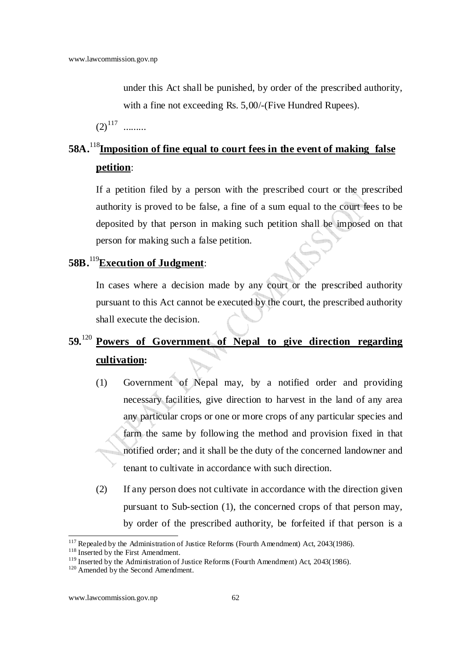under this Act shall be punished, by order of the prescribed authority, with a fine not exceeding Rs. 5,00/-(Five Hundred Rupees).

 $(2)^{117}$  .........

## **58A.**<sup>118</sup>**Imposition of fine equal to court fees in the event of making false petition**:

If a petition filed by a person with the prescribed court or the prescribed authority is proved to be false, a fine of a sum equal to the court fees to be deposited by that person in making such petition shall be imposed on that person for making such a false petition.

### **58B.**<sup>119</sup>**Execution of Judgment**:

In cases where a decision made by any court or the prescribed authority pursuant to this Act cannot be executed by the court, the prescribed authority shall execute the decision.

## **59.**<sup>120</sup> **Powers of Government of Nepal to give direction regarding cultivation:**

- (1) Government of Nepal may, by a notified order and providing necessary facilities, give direction to harvest in the land of any area any particular crops or one or more crops of any particular species and farm the same by following the method and provision fixed in that notified order; and it shall be the duty of the concerned landowner and tenant to cultivate in accordance with such direction.
- (2) If any person does not cultivate in accordance with the direction given pursuant to Sub-section (1), the concerned crops of that person may, by order of the prescribed authority, be forfeited if that person is a

  $117$  Repealed by the Administration of Justice Reforms (Fourth Amendment) Act, 2043(1986).

<sup>&</sup>lt;sup>118</sup> Inserted by the First Amendment.

<sup>&</sup>lt;sup>119</sup> Inserted by the Administration of Justice Reforms (Fourth Amendment) Act, 2043(1986).

<sup>&</sup>lt;sup>120</sup> Amended by the Second Amendment.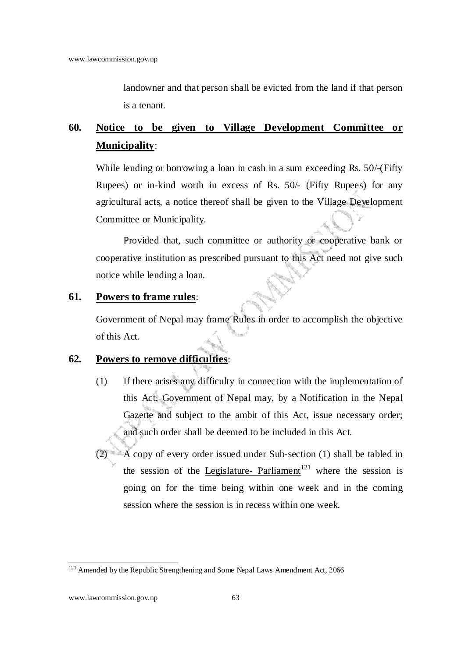landowner and that person shall be evicted from the land if that person is a tenant.

## **60. Notice to be given to Village Development Committee or Municipality**:

While lending or borrowing a loan in cash in a sum exceeding Rs. 50/-(Fifty Rupees) or in-kind worth in excess of Rs. 50/- (Fifty Rupees) for any agricultural acts, a notice thereof shall be given to the Village Development Committee or Municipality.

Provided that, such committee or authority or cooperative bank or cooperative institution as prescribed pursuant to this Act need not give such notice while lending a loan.

### **61. Powers to frame rules**:

Government of Nepal may frame Rules in order to accomplish the objective of this Act.

### **62. Powers to remove difficulties**:

- (1) If there arises any difficulty in connection with the implementation of this Act, Government of Nepal may, by a Notification in the Nepal Gazette and subject to the ambit of this Act, issue necessary order; and such order shall be deemed to be included in this Act.
- $\overline{A}$  copy of every order issued under Sub-section (1) shall be tabled in the session of the Legislature- Parliament<sup>121</sup> where the session is going on for the time being within one week and in the coming session where the session is in recess within one week.

 $121$  Amended by the Republic Strengthening and Some Nepal Laws Amendment Act, 2066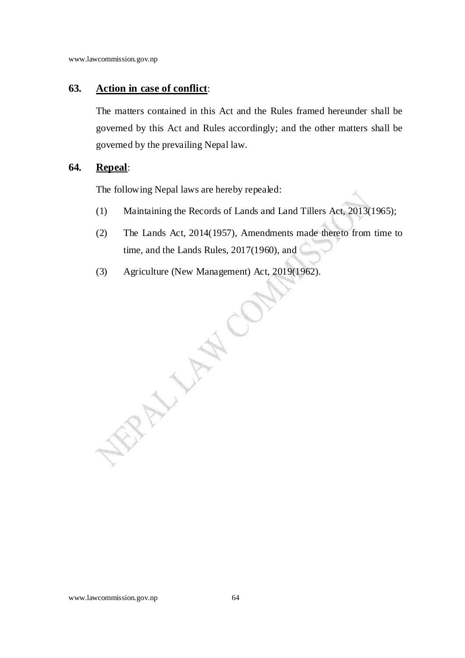### **63. Action in case of conflict**:

The matters contained in this Act and the Rules framed hereunder shall be governed by this Act and Rules accordingly; and the other matters shall be governed by the prevailing Nepal law.

### **64. Repeal**:

The following Nepal laws are hereby repealed:

- (1) Maintaining the Records of Lands and Land Tillers Act, 2013(1965);
- (2) The Lands Act, 2014(1957), Amendments made thereto from time to time, and the Lands Rules, 2017(1960), and
- (3) Agriculture (New Management) Act, 2019(1962).

ERWAY A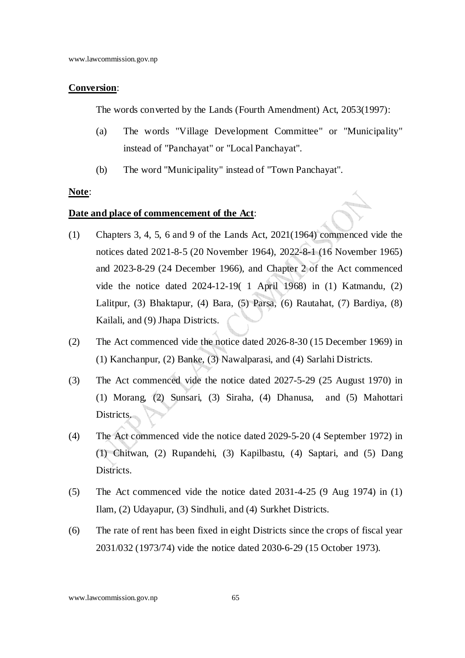#### **Conversion**:

The words converted by the Lands (Fourth Amendment) Act, 2053(1997):

- (a) The words "Village Development Committee" or "Municipality" instead of "Panchayat" or "Local Panchayat".
- (b) The word "Municipality" instead of "Town Panchayat".

#### **Note**:

#### **Date and place of commencement of the Act**:

- (1) Chapters 3, 4, 5, 6 and 9 of the Lands Act, 2021(1964) commenced vide the notices dated 2021-8-5 (20 November 1964), 2022-8-1 (16 November 1965) and 2023-8-29 (24 December 1966), and Chapter 2 of the Act commenced vide the notice dated 2024-12-19( 1 April 1968) in (1) Katmandu, (2) Lalitpur, (3) Bhaktapur, (4) Bara, (5) Parsa, (6) Rautahat, (7) Bardiya, (8) Kailali, and (9) Jhapa Districts.
- (2) The Act commenced vide the notice dated 2026-8-30 (15 December 1969) in (1) Kanchanpur, (2) Banke, (3) Nawalparasi, and (4) Sarlahi Districts.
- (3) The Act commenced vide the notice dated 2027-5-29 (25 August 1970) in (1) Morang, (2) Sunsari, (3) Siraha, (4) Dhanusa, and (5) Mahottari Districts.
- (4) The Act commenced vide the notice dated 2029-5-20 (4 September 1972) in (1) Chitwan, (2) Rupandehi, (3) Kapilbastu, (4) Saptari, and (5) Dang Districts.
- (5) The Act commenced vide the notice dated 2031-4-25 (9 Aug 1974) in (1) Ilam, (2) Udayapur, (3) Sindhuli, and (4) Surkhet Districts.
- (6) The rate of rent has been fixed in eight Districts since the crops of fiscal year 2031/032 (1973/74) vide the notice dated 2030-6-29 (15 October 1973).

www.lawcommission.gov.np 65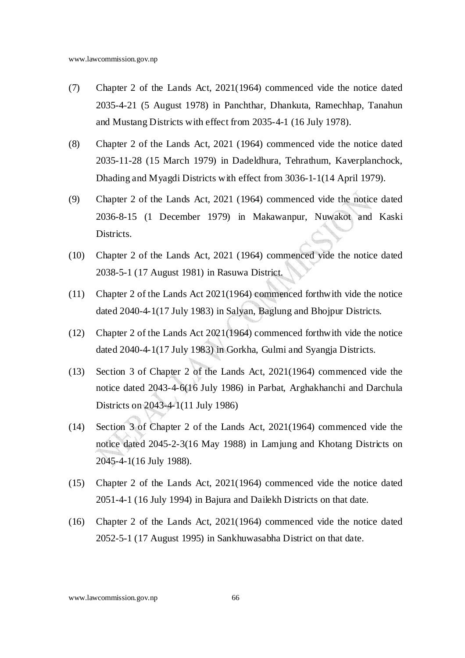- (7) Chapter 2 of the Lands Act, 2021(1964) commenced vide the notice dated 2035-4-21 (5 August 1978) in Panchthar, Dhankuta, Ramechhap, Tanahun and Mustang Districts with effect from 2035-4-1 (16 July 1978).
- (8) Chapter 2 of the Lands Act, 2021 (1964) commenced vide the notice dated 2035-11-28 (15 March 1979) in Dadeldhura, Tehrathum, Kaverplanchock, Dhading and Myagdi Districts with effect from 3036-1-1(14 April 1979).
- (9) Chapter 2 of the Lands Act, 2021 (1964) commenced vide the notice dated 2036-8-15 (1 December 1979) in Makawanpur, Nuwakot and Kaski Districts.
- (10) Chapter 2 of the Lands Act, 2021 (1964) commenced vide the notice dated 2038-5-1 (17 August 1981) in Rasuwa District.
- (11) Chapter 2 of the Lands Act 2021(1964) commenced forthwith vide the notice dated 2040-4-1(17 July 1983) in Salyan, Baglung and Bhojpur Districts.
- (12) Chapter 2 of the Lands Act 2021(1964) commenced forthwith vide the notice dated 2040-4-1(17 July 1983) in Gorkha, Gulmi and Syangja Districts.
- (13) Section 3 of Chapter 2 of the Lands Act, 2021(1964) commenced vide the notice dated 2043-4-6(16 July 1986) in Parbat, Arghakhanchi and Darchula Districts on 2043-4-1(11 July 1986)
- (14) Section 3 of Chapter 2 of the Lands Act, 2021(1964) commenced vide the notice dated 2045-2-3(16 May 1988) in Lamjung and Khotang Districts on 2045-4-1(16 July 1988).
- (15) Chapter 2 of the Lands Act, 2021(1964) commenced vide the notice dated 2051-4-1 (16 July 1994) in Bajura and Dailekh Districts on that date.
- (16) Chapter 2 of the Lands Act, 2021(1964) commenced vide the notice dated 2052-5-1 (17 August 1995) in Sankhuwasabha District on that date.

www.lawcommission.gov.np 66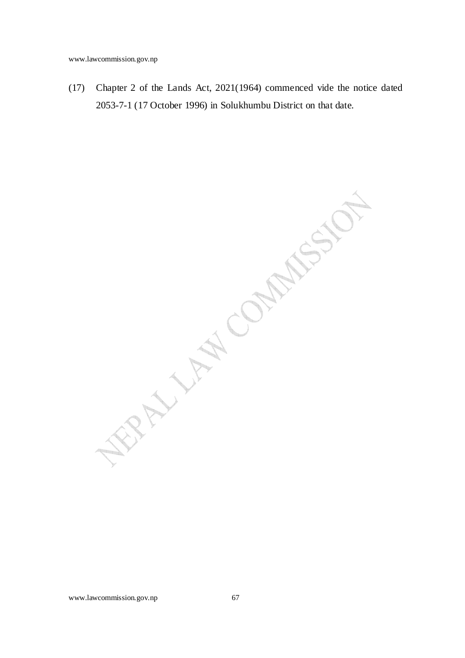(17) Chapter 2 of the Lands Act, 2021(1964) commenced vide the notice dated 2053-7-1 (17 October 1996) in Solukhumbu District on that date.

WANN LIMBONS ON MARSHOT